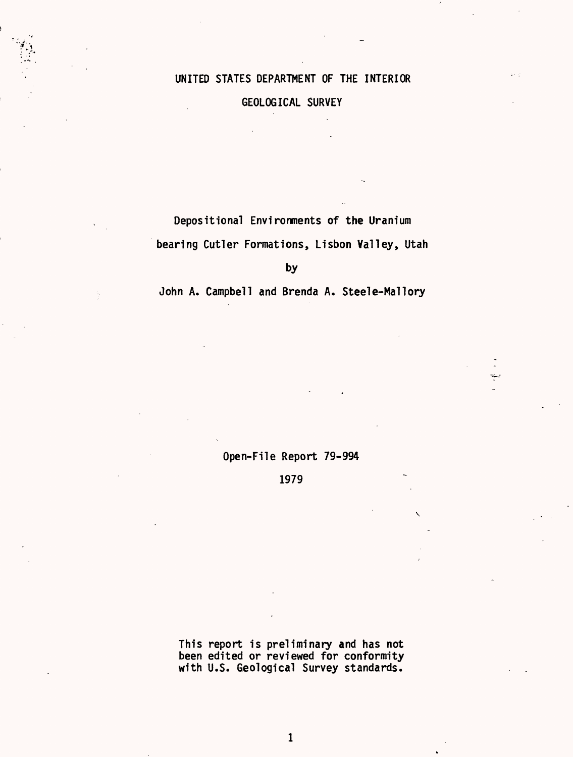# UNITED STATES DEPARTMENT OF THE INTERIOR

si a

# GEOLOGICAL SURVEY

Depositional Environments of the Uranium bearing Cutler Formations, Lisbon Valley, Utah

by

John A. Campbell and Brenda A. Steele-Mallory

Open-File Report 79-994

1979

This report is preliminary and has not been edited or reviewed for conformity with U.S. Geological Survey standards.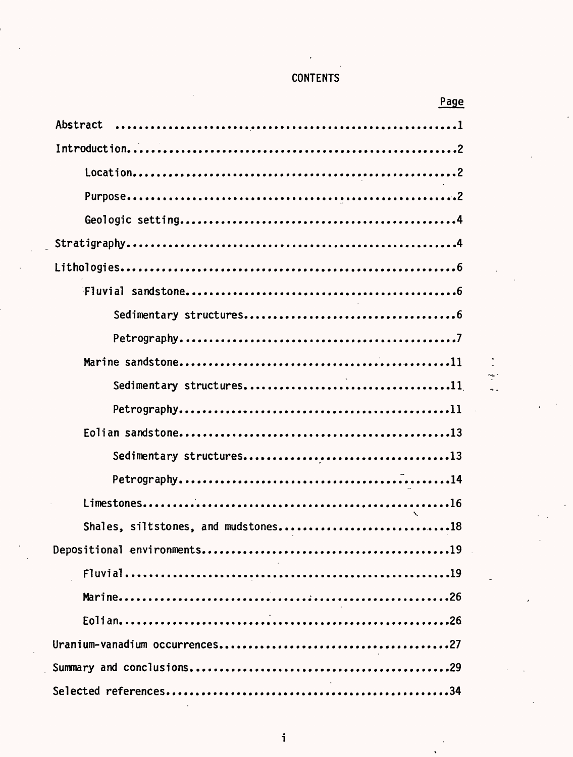|  |  | <b>CONTENTS</b> |  |
|--|--|-----------------|--|
|--|--|-----------------|--|

| <b>CONTENTS</b>                     |  |
|-------------------------------------|--|
| Page                                |  |
| Abstract                            |  |
|                                     |  |
|                                     |  |
|                                     |  |
|                                     |  |
|                                     |  |
|                                     |  |
|                                     |  |
|                                     |  |
|                                     |  |
|                                     |  |
| Sedimentary structures11            |  |
|                                     |  |
|                                     |  |
| Sedimentary structures13            |  |
|                                     |  |
|                                     |  |
| Shales, siltstones, and mudstones18 |  |
|                                     |  |
|                                     |  |
|                                     |  |
|                                     |  |
|                                     |  |
|                                     |  |
|                                     |  |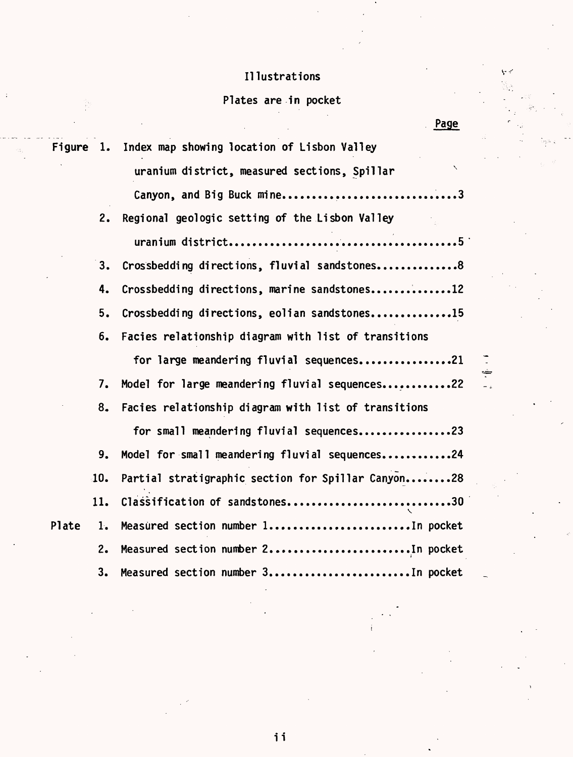# Illustrations

# Plates are in pocket

| Figure 1. |     | Index map showing location of Lisbon Valley                              |
|-----------|-----|--------------------------------------------------------------------------|
|           |     | $\overline{\phantom{0}}$<br>uranium district, measured sections, Spillar |
|           |     | Canyon, and Big Buck mine3                                               |
|           | 2.  | Regional geologic setting of the Lisbon Valley                           |
|           |     |                                                                          |
|           | 3.  | Crossbedding directions, fluvial sandstones8                             |
|           | 4.  | Crossbedding directions, marine sandstones12                             |
|           | 5.  | Crossbedding directions, eolian sandstones15                             |
|           | 6.  | Facies relationship diagram with list of transitions                     |
|           |     | for large meandering fluvial sequences21                                 |
|           | 7.  | Model for large meandering fluvial sequences22                           |
|           | 8.  | Facies relationship diagram with list of transitions                     |
|           |     | for small meandering fluvial sequences23                                 |
|           | 9.  | Model for small meandering fluvial sequences24                           |
|           | 10. | Partial stratigraphic section for Spillar Canyon28                       |
|           | 11. | Classification of sandstones30                                           |
| Plate     | 1.  | Measured section number 1In pocket                                       |
|           | 2.  | Measured section number 2In pocket                                       |
|           | 3.  | Measured section number 3In pocket                                       |

Page

 $\bar{\nabla}$ 

ii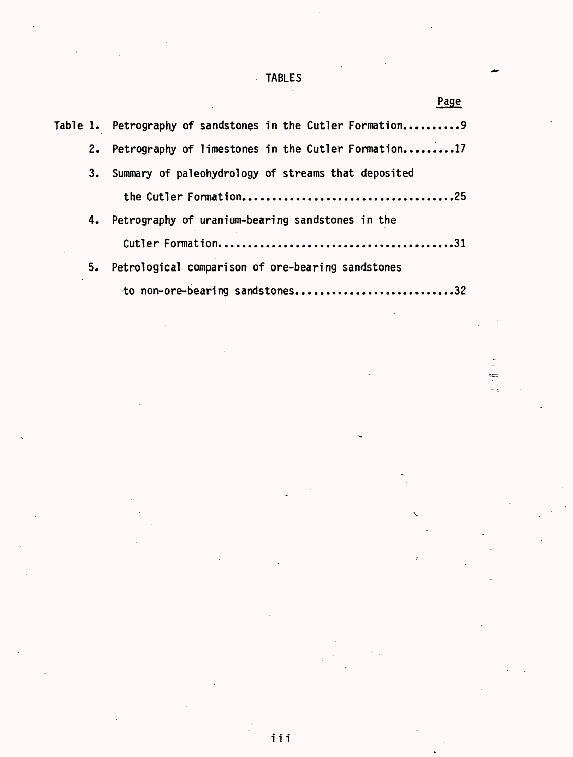# TABLES

 $\overline{a}$ 

÷  $\ddot{\phantom{a}}$ 

| Page                                                         |
|--------------------------------------------------------------|
| Table 1. Petrography of sandstones in the Cutler Formation 9 |
| Petrography of limestones in the Cutler Formation17<br>2.    |
| Summary of paleohydrology of streams that deposited<br>3.    |
|                                                              |
| 4. Petrography of uranium-bearing sandstones in the          |
|                                                              |
| 5. Petrological comparison of ore-bearing sandstones         |
| to non-ore-bearing sandstones32                              |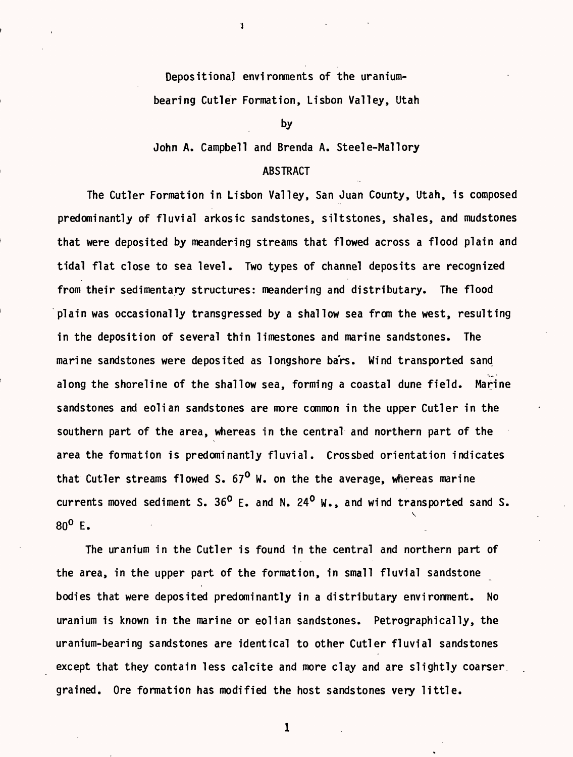Depositiona] environments of the uraniumbearing Cutler Formation, Lisbon Valley, Utah

1

by

John A. Campbell and Brenda A. Steele-Mallory

# ABSTRACT

The Cutler Formation in Lisbon Valley, San Juan County, Utah, is composed predominantly of fluvial arkosic sandstones, siltstones, shales, and mudstones that were deposited by meandering streams that flowed across a flood plain and tidal flat close to sea level. Two types of channel deposits are recognized from their sedimentary structures: meandering and distributary. The flood plain was occasionally transgressed by a shallow sea from the west, resulting in the deposition of several thin limestones and marine sandstones. The marine sandstones were deposited as longshore ba'rs. Wind transported sand along the shoreline of the shallow sea, forming a coastal dune field. Marine sandstones and eolian sandstones are more common in the upper Cutler in the southern part of the area, whereas in the central and northern part of the area the formation is predominantly fluvial. Crossbed orientation indicates that Cutler streams flowed S.  $67^{\circ}$  W. on the the average, whereas marine currents moved sediment S. 36<sup>0</sup> E. and N. 24<sup>0</sup> W., and wind transported sand S.  $\mathcal{L}_{\mathcal{A}}$ 80° E.

The uranium in the Cutler is found in the central and northern part of the area, in the upper part of the formation, in small fluvial sandstone bodies that were deposited predominantly in a distributary environment. No uranium is known in the marine or eolian sandstones. Petrographically, the uranium-bearing sandstones are identical to other Cutler fluvial sandstones except that they contain less calcite and more clay and are slightly coarser grained. Ore formation has modified the host sandstones very little.

 $\mathbf{1}$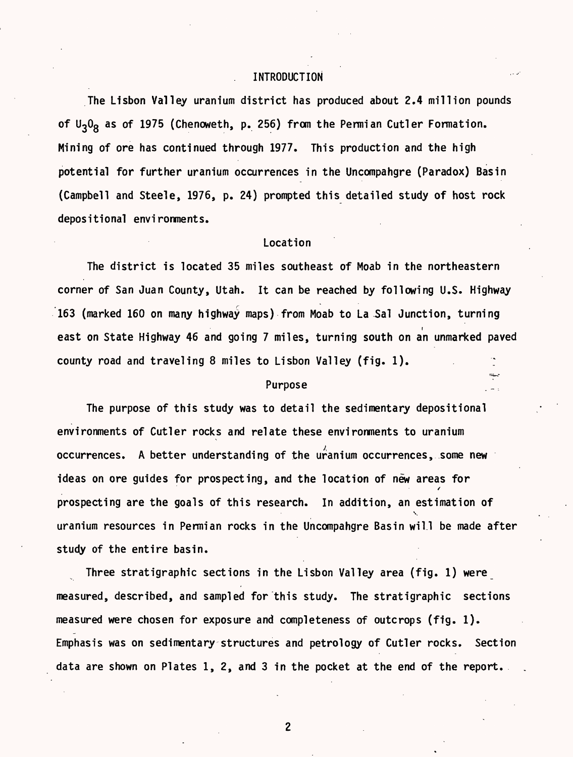## . INTRODUCTION

The Lisbon Valley uranium district has produced about 2.4 million pounds of  $U_3O_g$  as of 1975 (Chenoweth, p. 256) from the Permian Cutler Formation. Mining of ore has continued through 1977. This production and the high potential for further uranium occurrences in the Uncompahgre (Paradox) Basin (Campbell and Steele, 1976, p. 24) prompted this detailed study of host rock depositional environments.

#### Location

The district is located 35 miles southeast of Moab in the northeastern corner of San Juan County, Utah. It can be reached by following U.S. Highway 163 (marked 160 on many highway maps) from Moab to La Sal Junction, turning east on State Highway 46 and going 7 miles, turning south on an unmarked paved county road and traveling 8 miles to Lisbon Valley (fig. 1).

# Purpose

The purpose of this study was to detail the sedimentary depositional environments of Cutler rocks and relate these environments to uranium occurrences. A better understanding of the uranium occurrences, some new ideas on ore guides for prospecting, and the location of new areas for / prospecting are the goals of this research. In addition, an estimation of v uranium resources in Permian rocks in the Uncompahgre Basin will be made after study of the entire basin.

Three stratigraphic sections in the Lisbon Valley area (fig. 1) were measured, described, and sampled for this study. The stratigraphic sections measured were chosen for exposure and completeness of outcrops (fig. 1). Emphasis was on sedimentary structures and petrology of Cutler rocks. Section data are shown on Plates 1,2, and 3 in the pocket at the end of the report.

 $\overline{c}$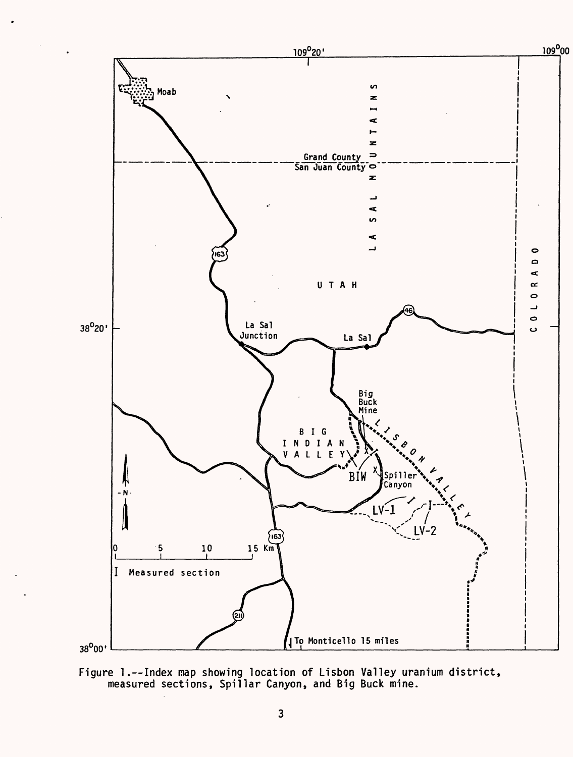

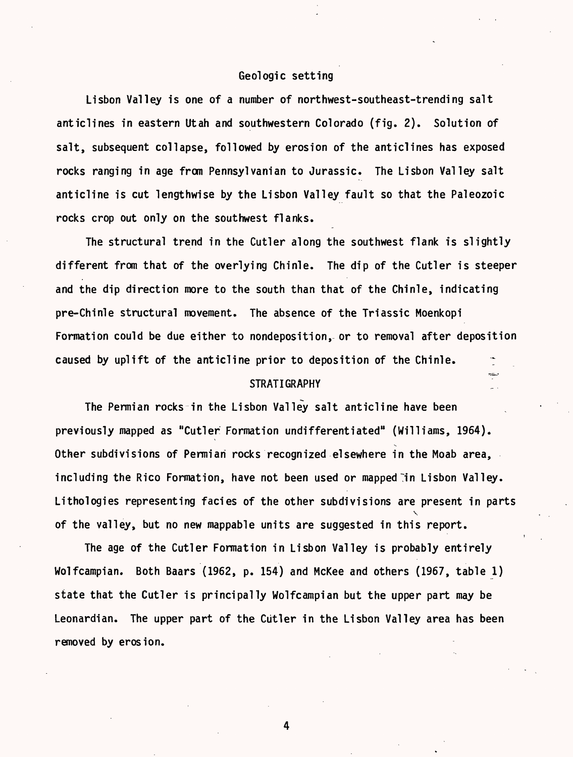#### Geologic setting

Lisbon Valley is one of a number of northwest-southeast-trending salt anticlines in eastern Utah and southwestern Colorado (fig. 2). Solution of salt, subsequent collapse, followed by erosion of the anticlines has exposed rocks ranging in age from Pennsylvanian to Jurassic. The Lisbon Valley salt anticline is cut lengthwise by the Lisbon Valley fault so that the Paleozoic rocks crop out only on the southwest flanks.

The structural trend in the Cutler along the southwest flank is slightly different from that of the overlying Chinle. The dip of the Cutler is steeper and the dip direction more to the south than that of the Chinle, indicating pre-Chinle structural movement. The absence of the Triassic Moenkopi Formation could be due either to nondeposition, or to removal after deposition caused by uplift of the anticline prior to deposition of the Chinle.  $\qquad \tilde{z}$  $STRATIGRAPHY$ 

The Permian rocks in the Lisbon Valley salt anticline have been previously mapped as "Cutler Formation undifferentiated" (Williams, 1964). Other subdivisions of Permian rocks recognized elsewhere in the Moab area, including the Rico Formation, have not been used or mapped in Lisbon Valley. Lithologies representing facies of the other subdivisions are present in parts V of the valley, but no new mappable units are suggested in this report.

The age of the Cutler Formation in Lisbon Valley is probably entirely Wolfcampian. Both Baars (1962, p. 154) and McKee and others (1967, table 1) state that the Cutler is principally Wolfcampian but the upper part may be Leonardian. The upper part of the Cutler in the Lisbon Valley area has been removed by erosion.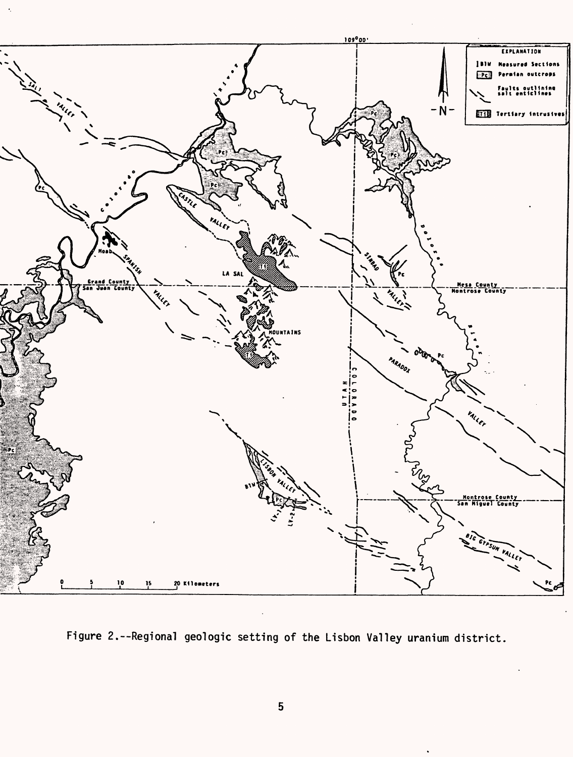

Figure 2.--Regional geologic setting of the Lisbon Valley uranium district.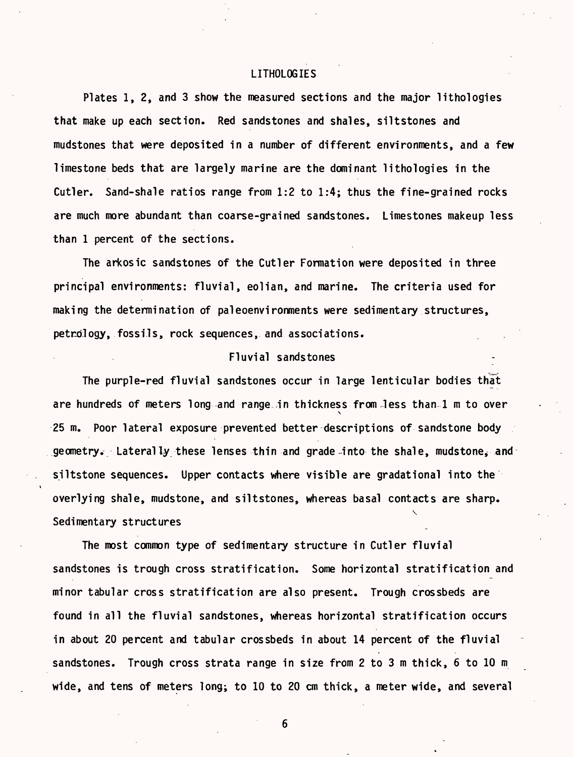#### LITHOLOGIES

Plates 1, 2, and 3 show the measured sections and the major lithologies that make up each section. Red sandstones and shales, siltstones and mudstones that were deposited in a number of different environments, and a few limestone beds that are largely marine are the dominant lithologies in the Cutler. Sand-shale ratios range from 1:2 to 1:4; thus the fine-grained rocks are much more abundant than coarse-grained sandstones. Limestones makeup less than 1 percent of the sections.

The arkosic sandstones of the Cutler Formation were deposited in three principal environments: fluvial, eolian, and marine. The criteria used for making the determination of paleoenvironments were sedimentary structures, petrology, fossils, rock sequences, and associations.

# Fluvial sandstones

The purple-red fluvial sandstones occur in large lenticular bodies that are hundreds of meters long and range in thickness from less than 1 m to over 25 m. Poor lateral exposure prevented better descriptions of sandstone body geometry. Laterally these lenses thin and grade *4* nto the shale, mudstone, and siltstone sequences. Upper contacts where visible are gradational into the overlying shale, mudstone, and siltstones, whereas basal contacts are sharp. V Sedimentary structures

The most common type of sedimentary structure in Cutler fluvial sandstones is trough cross stratification. Some horizontal stratification and minor tabular cross stratification are also present. Trough crossbeds are found in all the fluvial sandstones, whereas horizontal stratification occurs in about 20 percent and tabular crossbeds in about 14 percent of the fluvial sandstones. Trough cross strata range in size from 2 to 3 m thick, 6 to 10 m wide, and tens of meters long; to 10 to 20 cm thick, a meter wide, and several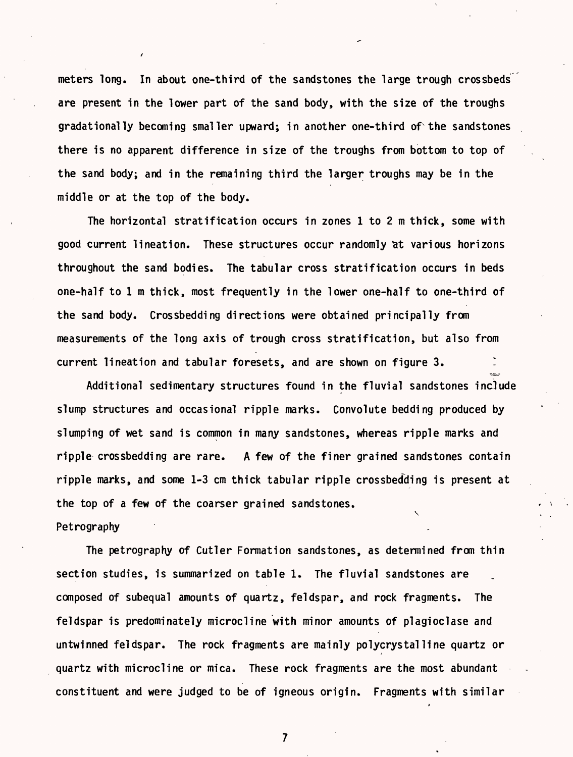meters long. In about one-third of the sandstones the large trough crossbeds are present in the lower part of the sand body, with the size of the troughs gradationally becoming smaller upward; in another one-third of the sandstones there is no apparent difference in size of the troughs from bottom to top of the sand body; and in the remaining third the larger troughs may be in the middle or at the top of the body.

The horizontal stratification occurs in zones 1 to 2 m thick, some with good current lineation. These structures occur randomly at various horizons throughout the sand bodies. The tabular cross stratification occurs in beds one-half to 1 m thick, most frequently in the lower one-half to one-third of the sand body. Crossbedding directions were obtained principally from measurements of the long axis of trough cross stratification, but also from current lineation and tabular foresets, and are shown on figure 3.

Additional sedimentary structures found in the fluvial sandstones include slump structures and occasional ripple marks. Convolute bedding produced by slumping of wet sand is common in many sandstones, whereas ripple marks and ripple crossbedding are rare. A few of the finer grained sandstones contain ripple marks, and some 1-3 cm thick tabular ripple crossbedding is present at the top of a few of the coarser grained sandstones.  $\checkmark$ 

# Petrography

The petrography of Cutler Formation sandstones, as determined from thin section studies, is summarized on table 1. The fluvial sandstones are composed of subequal amounts of quartz, feldspar, and rock fragments. The feldspar is predominately microcline with minor amounts of plagioclase and untwinned feldspar. The rock fragments are mainly polycrystalline quartz or quartz with microcline or mica. These rock fragments are the most abundant constituent and were judged to be of igneous origin. Fragments with similar

 $\overline{7}$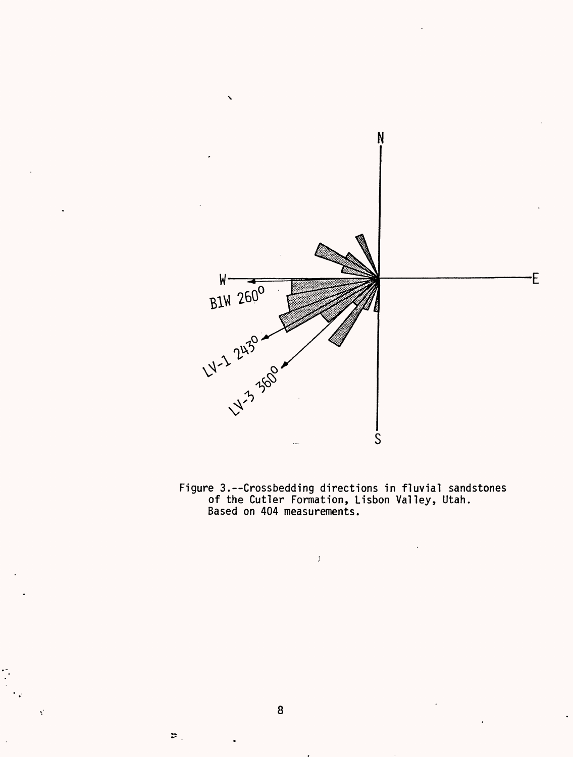

Figure 3.--Crossbedding directions in fluvial sandstones of the Cutler Formation, Lisbon Valley, Utah. Based on 404 measurements.

 $\bar{1}$ 

 $\varphi$  .

 $\vec{z}$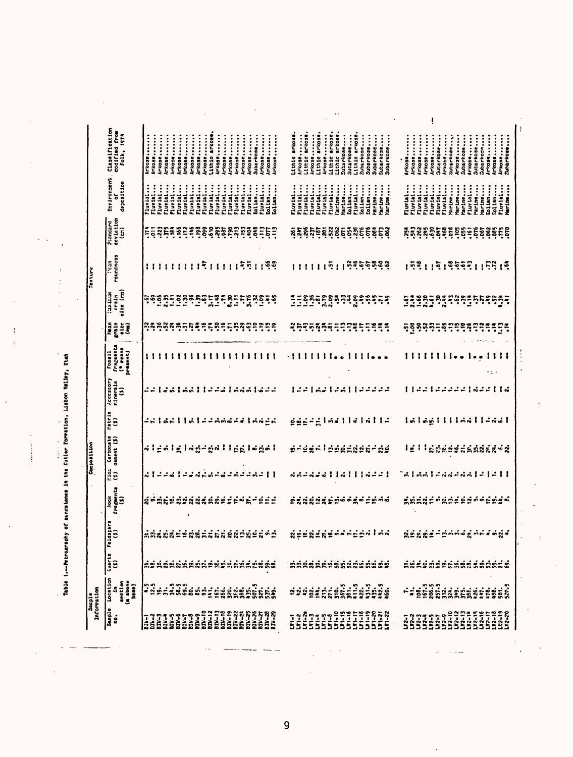Table 1---Perceptably of mandatones in the Guilar Formation, Lisbon Velley, Utah

l,

turned former to

l,  $\mathcal{A}$ l,

 $\cdot$  $\ddot{\cdot}$ 

 $\overline{\phantom{a}}$ 

 $\overline{1}$  $\frac{1}{2}$ 

|            | Environment, Classification<br>of<br>codified from<br>Folk, 1974    | Arkose<br><b>Arkose</b>                                | Arkose<br><b>Arkosensission</b> | Arkose  | <b>Arkose</b>      | <b>Inkose</b><br><b>Arkose</b> | Arkose             | <b>Irkose</b> | Lithio arkose<br>Arkose | <b>Arkose</b> | Arkose             | Arkose<br>Arkose | <b>Arkose</b> | Subarkose | Aricose<br><b>Inkose</b> | <b>Arkose</b> | Lithic arkose.<br>Arkose | Lithic arkose. | Arkose  | Lithic arkose | Arkose<br>Lithic arkose | Lithic arkose | Subarkose<br>Sutarkose | Lithic arkose. | Subarkose<br>Subarkose | Subarkose | Subarkose<br>Subarkose           | <b>Arkose</b> | Arkose         | <b>Irkose</b> | Arkose             | Sutarkose<br><b>Arkose</b> | Arkose  | Subarkose | Arkose<br>Subarkose | Arkose  | Subarkose     | Arkose<br>Subarkosn                   | <b>Artose</b> | Suharkose<br><b>Arkose</b>                                                                                                                                                                                                                                                                                                                                                                                                                                                                                                                                                                                                                                                                                                                                                                                                                                                                                                                                                                                                                                                                                                                                                                                                                                                                                                                                                                                                                                                                                                                                                                                                                                                                                                                                                                                                                                                                                                                                                                                                                                                                                                                                                                           |  |
|------------|---------------------------------------------------------------------|--------------------------------------------------------|---------------------------------|---------|--------------------|--------------------------------|--------------------|---------------|-------------------------|---------------|--------------------|------------------|---------------|-----------|--------------------------|---------------|--------------------------|----------------|---------|---------------|-------------------------|---------------|------------------------|----------------|------------------------|-----------|----------------------------------|---------------|----------------|---------------|--------------------|----------------------------|---------|-----------|---------------------|---------|---------------|---------------------------------------|---------------|------------------------------------------------------------------------------------------------------------------------------------------------------------------------------------------------------------------------------------------------------------------------------------------------------------------------------------------------------------------------------------------------------------------------------------------------------------------------------------------------------------------------------------------------------------------------------------------------------------------------------------------------------------------------------------------------------------------------------------------------------------------------------------------------------------------------------------------------------------------------------------------------------------------------------------------------------------------------------------------------------------------------------------------------------------------------------------------------------------------------------------------------------------------------------------------------------------------------------------------------------------------------------------------------------------------------------------------------------------------------------------------------------------------------------------------------------------------------------------------------------------------------------------------------------------------------------------------------------------------------------------------------------------------------------------------------------------------------------------------------------------------------------------------------------------------------------------------------------------------------------------------------------------------------------------------------------------------------------------------------------------------------------------------------------------------------------------------------------------------------------------------------------------------------------------------------------|--|
|            | deposition                                                          | Fluvial<br>Fluvial                                     | Fluvial<br>Fluvial              | Fluvial | Fluvial<br>Fluvial |                                | Fluvial<br>Fluvial | Fluvial       | Fluvial<br>Fluvial      | Fluvinl       | Fluvial<br>Fluvial | Fluvial          | Fluvial       | Eolian    | Fluvial<br>Eolian        | Eolian        | Fluvial<br>Fluvial       | Fluvial        | Fluvial | Fluvial       | Fluvial<br>Fluvial      | l'arine       | Marine<br>Eolian       | rluvial        | Eolian<br>Folian       | harine    | Marine<br>Marine                 | rluvtal       | <b>Fluvial</b> | Fluvial       | Fluvial<br>Fluvial | Fluvial                    | Fluvial | Marine    | Marine<br>Marine    | Fluvial | Marine        | Marine<br>Eolian<br>Eolian<br>Fluvial |               | Marine                                                                                                                                                                                                                                                                                                                                                                                                                                                                                                                                                                                                                                                                                                                                                                                                                                                                                                                                                                                                                                                                                                                                                                                                                                                                                                                                                                                                                                                                                                                                                                                                                                                                                                                                                                                                                                                                                                                                                                                                                                                                                                                                                                                               |  |
|            | Standard<br>deviation<br>(cm)                                       | EERRE                                                  |                                 |         |                    |                                |                    |               |                         |               | ETT POSSESSING     |                  |               | ã.        |                          | תַּפָתָ       |                          |                |         |               |                         |               |                        |                |                        |           | <b>gradition de la constanti</b> |               |                |               |                    |                            |         |           |                     |         |               |                                       |               | <b>EQSESSES</b>                                                                                                                                                                                                                                                                                                                                                                                                                                                                                                                                                                                                                                                                                                                                                                                                                                                                                                                                                                                                                                                                                                                                                                                                                                                                                                                                                                                                                                                                                                                                                                                                                                                                                                                                                                                                                                                                                                                                                                                                                                                                                                                                                                                      |  |
| Texture    | roundness<br>roundness                                              | ''                                                     |                                 |         |                    |                                |                    |               |                         |               | 11111115111551138  |                  |               |           |                          |               | 111111                   |                |         |               | 511                     |               |                        |                |                        |           | 5255588                          |               |                | 1531          |                    |                            |         |           |                     |         |               |                                       |               | ${1}^5; {1}^5; {5}^5; {6}^7; {1}^5; {1}^5; {1}^5;$                                                                                                                                                                                                                                                                                                                                                                                                                                                                                                                                                                                                                                                                                                                                                                                                                                                                                                                                                                                                                                                                                                                                                                                                                                                                                                                                                                                                                                                                                                                                                                                                                                                                                                                                                                                                                                                                                                                                                                                                                                                                                                                                                   |  |
|            | $_{\text{size}}$ (m)<br>las Lue<br>$5 - 16$                         | ឆុទ្                                                   | $\ddot{\mathbf{e}}$             | ្លះ     |                    |                                |                    |               |                         |               |                    |                  |               |           |                          |               | Ξ<br>Ξ                   |                |         |               |                         |               |                        |                |                        |           | ្ភេរ                             |               | $\frac{5}{2}$  |               |                    |                            |         |           |                     | ិះ      |               |                                       |               | កុកុទ្ធក្នុក្                                                                                                                                                                                                                                                                                                                                                                                                                                                                                                                                                                                                                                                                                                                                                                                                                                                                                                                                                                                                                                                                                                                                                                                                                                                                                                                                                                                                                                                                                                                                                                                                                                                                                                                                                                                                                                                                                                                                                                                                                                                                                                                                                                                        |  |
|            | Hean<br>grain<br>ijÎ                                                | <b>្ត្រី ភូង្គី</b>                                    |                                 |         |                    |                                | <b>Anna</b>        | ៊ី            | ្<br>ះុំ                |               | ៖ទទទទ              |                  |               |           |                          |               |                          |                |         |               | Rhinghat                |               | ក្នុងខ្លួ              |                | ÷,<br>≒                | ÷.        |                                  |               |                | ភុទ្ទនុងពួកនូ |                    |                            |         | ።         | ÷.<br>ះុ            | ř       | ።             | ።                                     |               | Ξŧ                                                                                                                                                                                                                                                                                                                                                                                                                                                                                                                                                                                                                                                                                                                                                                                                                                                                                                                                                                                                                                                                                                                                                                                                                                                                                                                                                                                                                                                                                                                                                                                                                                                                                                                                                                                                                                                                                                                                                                                                                                                                                                                                                                                                   |  |
|            | fragsents<br>( <sup>8</sup> zeana<br>present)<br>Foss <sub>11</sub> | $\mathbf{1}$                                           |                                 |         |                    |                                |                    |               |                         |               |                    |                  |               |           |                          |               |                          |                |         |               |                         |               |                        |                |                        |           |                                  |               |                |               |                    | 11111.                     |         |           |                     |         |               |                                       |               |                                                                                                                                                                                                                                                                                                                                                                                                                                                                                                                                                                                                                                                                                                                                                                                                                                                                                                                                                                                                                                                                                                                                                                                                                                                                                                                                                                                                                                                                                                                                                                                                                                                                                                                                                                                                                                                                                                                                                                                                                                                                                                                                                                                                      |  |
|            | Accessory<br>ninerals<br>$\mathbf{\hat{z}}$                         |                                                        |                                 | ň       |                    |                                |                    |               |                         |               | malleedlaamid      |                  |               |           |                          |               |                          |                |         |               |                         |               |                        |                |                        |           | -1321-311-2222                   |               |                |               | - 1                |                            |         | ئەدە      |                     | - 1     | $\ddot{\sim}$ |                                       |               | こごししゅ                                                                                                                                                                                                                                                                                                                                                                                                                                                                                                                                                                                                                                                                                                                                                                                                                                                                                                                                                                                                                                                                                                                                                                                                                                                                                                                                                                                                                                                                                                                                                                                                                                                                                                                                                                                                                                                                                                                                                                                                                                                                                                                                                                                                |  |
|            | $\frac{1}{1}$<br>(5)                                                | -- ac  a --aad-                                        |                                 |         |                    |                                |                    |               |                         |               |                    |                  | ≠¦AN≟L        |           |                          |               |                          |                |         |               |                         |               |                        |                |                        |           | ggeegleillelalle                 |               |                |               |                    |                            |         |           |                     |         |               |                                       |               | 6   6 6   1   1   6 6     4 6 6                                                                                                                                                                                                                                                                                                                                                                                                                                                                                                                                                                                                                                                                                                                                                                                                                                                                                                                                                                                                                                                                                                                                                                                                                                                                                                                                                                                                                                                                                                                                                                                                                                                                                                                                                                                                                                                                                                                                                                                                                                                                                                                                                                      |  |
| Compassion | Carbonate<br>cenent (\$)                                            | $\alpha$   Englished   International property $\alpha$ |                                 |         |                    |                                |                    |               |                         |               |                    |                  |               |           |                          |               |                          |                |         |               |                         |               |                        |                |                        |           | n-sa-lengganin-ng                |               |                |               |                    |                            |         |           |                     |         |               |                                       |               | IE I I SORNES SANARE N                                                                                                                                                                                                                                                                                                                                                                                                                                                                                                                                                                                                                                                                                                                                                                                                                                                                                                                                                                                                                                                                                                                                                                                                                                                                                                                                                                                                                                                                                                                                                                                                                                                                                                                                                                                                                                                                                                                                                                                                                                                                                                                                                                               |  |
|            | $\frac{1}{2}$                                                       | ನ !                                                    |                                 |         | и                  |                                | $\sim$             |               |                         | ക്            |                    |                  |               |           | $-0.11$                  |               |                          |                |         |               | ddidigil                |               |                        | 3111           |                        |           | ぷここー                             |               | - 1            | ng l          |                    |                            |         |           |                     |         |               |                                       |               | ぷぷ‐ぷぷl‐l‐ll                                                                                                                                                                                                                                                                                                                                                                                                                                                                                                                                                                                                                                                                                                                                                                                                                                                                                                                                                                                                                                                                                                                                                                                                                                                                                                                                                                                                                                                                                                                                                                                                                                                                                                                                                                                                                                                                                                                                                                                                                                                                                                                                                                                          |  |
|            | $r$ -aggents<br>kook                                                | <b>Soutedander</b>                                     |                                 |         |                    |                                |                    |               |                         |               |                    |                  | $\approx 5.4$ |           |                          | ₫             |                          |                |         |               |                         |               |                        |                |                        |           | 54885445066465646                |               |                | <i>inini</i>  |                    |                            |         |           |                     |         |               |                                       |               | wächten volle in                                                                                                                                                                                                                                                                                                                                                                                                                                                                                                                                                                                                                                                                                                                                                                                                                                                                                                                                                                                                                                                                                                                                                                                                                                                                                                                                                                                                                                                                                                                                                                                                                                                                                                                                                                                                                                                                                                                                                                                                                                                                                                                                                                                     |  |
|            | eldspars<br>(1)<br>tā,                                              | séde                                                   |                                 | ನೆ      | É                  |                                | <b>sisti</b>       |               |                         |               | <b>SSSSPSSS-</b>   |                  |               |           |                          |               |                          |                |         |               |                         |               |                        |                |                        |           | Sengite-treenled                 |               |                |               |                    |                            |         |           |                     |         |               |                                       |               | <b>ห้ธุ์ยู้ที่จุ</b> กแต่ครูใคร่จุดที่จุ                                                                                                                                                                                                                                                                                                                                                                                                                                                                                                                                                                                                                                                                                                                                                                                                                                                                                                                                                                                                                                                                                                                                                                                                                                                                                                                                                                                                                                                                                                                                                                                                                                                                                                                                                                                                                                                                                                                                                                                                                                                                                                                                                             |  |
|            | $rac{1}{(5)}$                                                       | ้คำลังค์ที่มีคัดที่มีลัดในก็คำลับสัต <i>ร์</i>         |                                 |         |                    |                                |                    |               |                         |               |                    |                  |               |           |                          |               |                          |                |         |               |                         |               |                        |                |                        |           | <b>AAARAASSAAAASASSS</b>         |               |                |               |                    |                            |         |           |                     |         |               |                                       |               | <u> ###\$#\$&amp;&amp;########&lt;/u&gt;&lt;/td&gt;&lt;td&gt;&lt;/td&gt;&lt;/tr&gt;&lt;tr&gt;&lt;td&gt;Information&lt;br&gt;Sacple&lt;/td&gt;&lt;td&gt;Location&lt;br&gt;&lt;math&gt;\begin{array}{c} \text{arct}(n) \\ \text{(a above)} \\ \text{base} \end{array}&lt;/math&gt;&lt;br&gt;ą&lt;/td&gt;&lt;td&gt;&lt;/td&gt;&lt;td&gt;&lt;/td&gt;&lt;td&gt;&lt;/td&gt;&lt;td&gt;&lt;/td&gt;&lt;td&gt;&lt;/td&gt;&lt;td&gt;&lt;/td&gt;&lt;td&gt;&lt;/td&gt;&lt;td&gt;&lt;/td&gt;&lt;td&gt;&lt;/td&gt;&lt;td&gt;&lt;/td&gt;&lt;td&gt;&lt;/td&gt;&lt;td&gt;&lt;/td&gt;&lt;td&gt;&lt;/td&gt;&lt;td&gt;&lt;/td&gt;&lt;td&gt;&lt;/td&gt;&lt;td&gt;&lt;/td&gt;&lt;td&gt;&lt;/td&gt;&lt;td&gt;&lt;/td&gt;&lt;td&gt;&lt;/td&gt;&lt;td&gt;&lt;/td&gt;&lt;td&gt;&lt;/td&gt;&lt;td&gt;&lt;/td&gt;&lt;td&gt;&lt;/td&gt;&lt;td&gt;&lt;/td&gt;&lt;td&gt;&lt;/td&gt;&lt;td&gt;&lt;/td&gt;&lt;td&gt;&lt;/td&gt;&lt;td&gt;&lt;/td&gt;&lt;td&gt;&lt;/td&gt;&lt;td&gt;&lt;/td&gt;&lt;td&gt;&lt;/td&gt;&lt;td&gt;&lt;/td&gt;&lt;td&gt;&lt;/td&gt;&lt;td&gt;&lt;/td&gt;&lt;td&gt;&lt;/td&gt;&lt;td&gt;&lt;/td&gt;&lt;td&gt;&lt;/td&gt;&lt;td&gt;&lt;/td&gt;&lt;td&gt;&lt;/td&gt;&lt;td&gt;&lt;/td&gt;&lt;/tr&gt;&lt;tr&gt;&lt;td&gt;&lt;/td&gt;&lt;td&gt;&lt;b&gt;Sanple&lt;/b&gt;&lt;br&gt;ś&lt;/td&gt;&lt;td&gt;&lt;/td&gt;&lt;td&gt;&lt;/td&gt;&lt;td&gt;&lt;/td&gt;&lt;td&gt;&lt;/td&gt;&lt;td&gt;&lt;/td&gt;&lt;td&gt;&lt;/td&gt;&lt;td&gt;&lt;/td&gt;&lt;td&gt;&lt;/td&gt;&lt;td&gt;&lt;/td&gt;&lt;td&gt;&lt;/td&gt;&lt;td&gt;&lt;/td&gt;&lt;td&gt;&lt;/td&gt;&lt;td&gt;&lt;/td&gt;&lt;td&gt;&lt;/td&gt;&lt;td&gt;&lt;/td&gt;&lt;td&gt;&lt;/td&gt;&lt;td&gt;&lt;/td&gt;&lt;td&gt;&lt;/td&gt;&lt;td&gt;&lt;/td&gt;&lt;td&gt;&lt;/td&gt;&lt;td&gt;&lt;/td&gt;&lt;td&gt;&lt;/td&gt;&lt;td&gt;&lt;/td&gt;&lt;td&gt;&lt;/td&gt;&lt;td&gt;&lt;/td&gt;&lt;td&gt;&lt;/td&gt;&lt;td&gt;&lt;/td&gt;&lt;td&gt;&lt;/td&gt;&lt;td&gt;&lt;/td&gt;&lt;td&gt;&lt;/td&gt;&lt;td&gt;&lt;/td&gt;&lt;td&gt;&lt;/td&gt;&lt;td&gt;&lt;/td&gt;&lt;td&gt;&lt;/td&gt;&lt;td&gt;&lt;/td&gt;&lt;td&gt;&lt;/td&gt;&lt;td&gt;&lt;/td&gt;&lt;td&gt;&lt;/td&gt;&lt;td&gt;&lt;/td&gt;&lt;td&gt;&lt;/td&gt;&lt;/tr&gt;&lt;/tbody&gt;&lt;/table&gt;</u> |  |

 $\overline{9}$ 

 $\ddot{\phantom{0}}$ 

للداد  $\overline{\phantom{a}}$ 

 $\ddot{\phantom{0}}$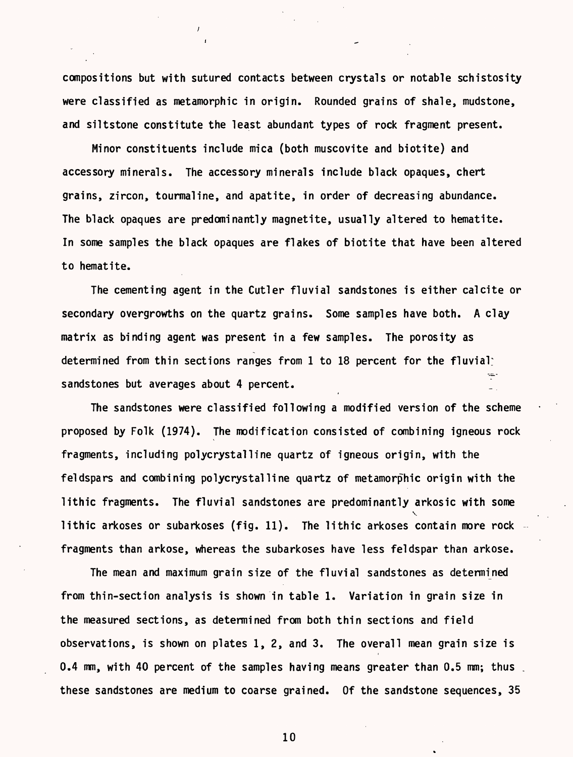compositions but with sutured contacts between crystals or notable schistosity were classified as metamorphic in origin. Rounded grains of shale, mudstone, and siltstone constitute the least abundant types of rock fragment present.

Minor constituents include mica (both muscovite and biotite) and accessory minerals. The accessory minerals include black opaques, chert grains, zircon, tourmaline, and apatite, in order of decreasing abundance. The black opaques are predominantly magnetite, usually altered to hematite. In some samples the black opaques are flakes of biotite that have been altered to hematite.

The cementing agent in the Cutler fluvial sandstones is either calcite or secondary overgrowths on the quartz grains. Some samples have both. A clay matrix as binding agent was present in a few samples. The porosity as determined from thin sections ranges from 1 to 18 percent for the fluvial: sandstones but averages about 4 percent.

The sandstones were classified following a modified version of the scheme proposed by Folk (1974). The modification consisted of combining igneous rock fragments, including polycrystalline quartz of igneous origin, with the feldspars and combining polycrystalline quartz of metamorphic origin with the lithic fragments. The fluvial sandstones are predominantly arkosic with some  $\checkmark$ lithic arkoses or subarkoses (fig. 11). The lithic arkoses contain more rock fragments than arkose, whereas the subarkoses have less feldspar than arkose.

The mean and maximum grain size of the fluvial sandstones as determined from thin-section analysis is shown in table 1. Variation in grain size in the measured sections, as determined from both thin sections and field observations, is shown on plates 1, 2, and 3. The overall mean grain size is 0.4 mm, with 40 percent of the samples having means greater than 0.5 mm; thus . these sandstones are medium to coarse grained. Of the sandstone sequences, 35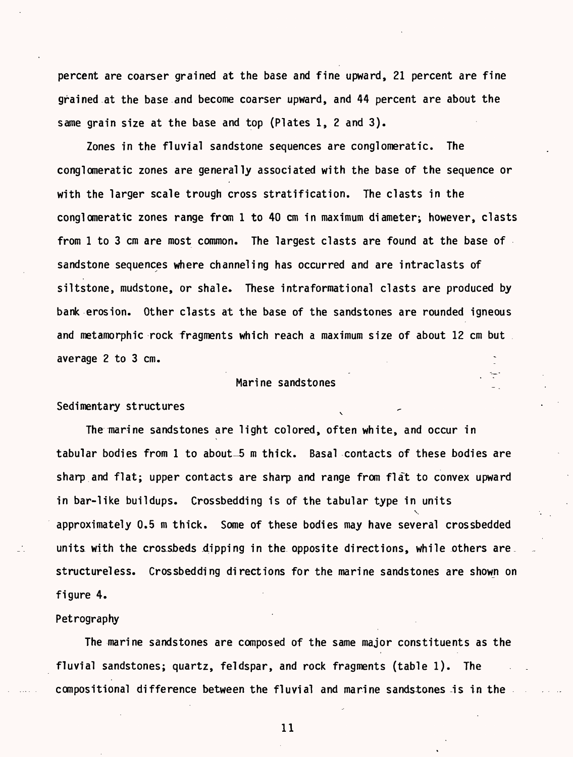percent are coarser grained at the base and fine upward, 21 percent are fine grained at the base and become coarser upward, and 44 percent are about the same grain size at the base and top (Plates 1, 2 and 3).

Zones in the fluvial sandstone sequences are conglomeratic. The conglomeratic zones are generally associated with the base of the sequence or with the larger scale trough cross stratification. The clasts in the conglomeratic zones range from 1 to 40 cm in maximum diameter; however, clasts from 1 to 3 cm are most common. The largest clasts are found at the base of sandstone sequences where channeling has occurred and are intraclasts of siltstone, mudstone, or shale. These intraformational clasts are produced by bank erosion. Other clasts at the base of the sandstones are rounded igneous and metamorphic rock fragments which reach a maximum size of about 12 cm but average 2 to 3 cm.

## Marine sandstones ^

#### Sedimentary structures

The marine sandstones are light colored, often white, and occur in tabular bodies from 1 to about-5 m thick. Basal contacts of these bodies are sharp and flat; upper contacts are sharp and range from flat to convex upward in bar-like buildups. Crossbedding is of the tabular type in units  $\ddot{\phantom{0}}$ approximately 0.5 m thick. Some of these bodies may have several crossbedded units with the crossbeds dipping in the opposite directions, while others are. structureless. Crossbedding directions for the marine sandstones are shown on figure 4.

# Petrography

The marine sandstones are composed of the same major constituents as the fluvial sandstones; quartz, feldspar, and rock fragments (table 1). The compositional difference between the fluvial and marine sandstones-is in the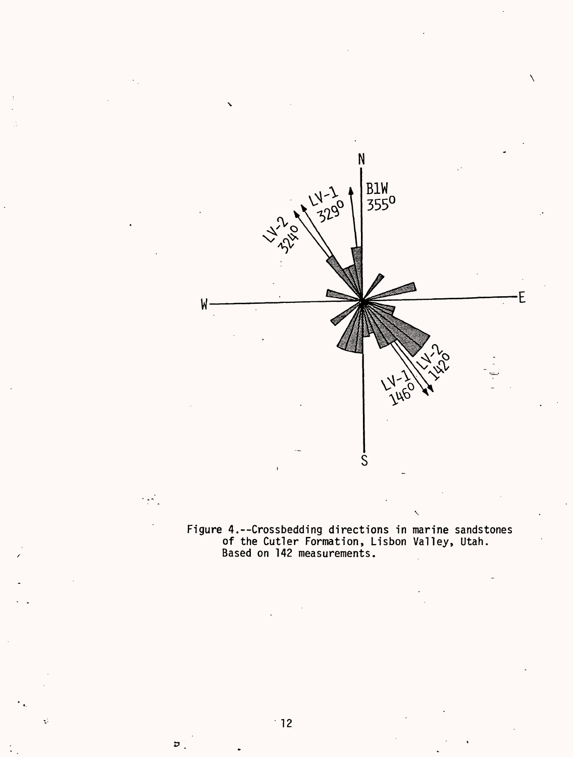Figure 4.--Crossbedding directions in marine sandstones of the Cutler Formation, Lisbon Valley, Utah. Based on 142 measurements.

Ś

N

 $3290$ 

 $\mathsf{M}$ 

 $\mathcal{L}$  ,  $\mathcal{L}$ 

Þ

 $\zeta$ 

B1W<br>355<sup>0</sup>

 $\setminus$ 

E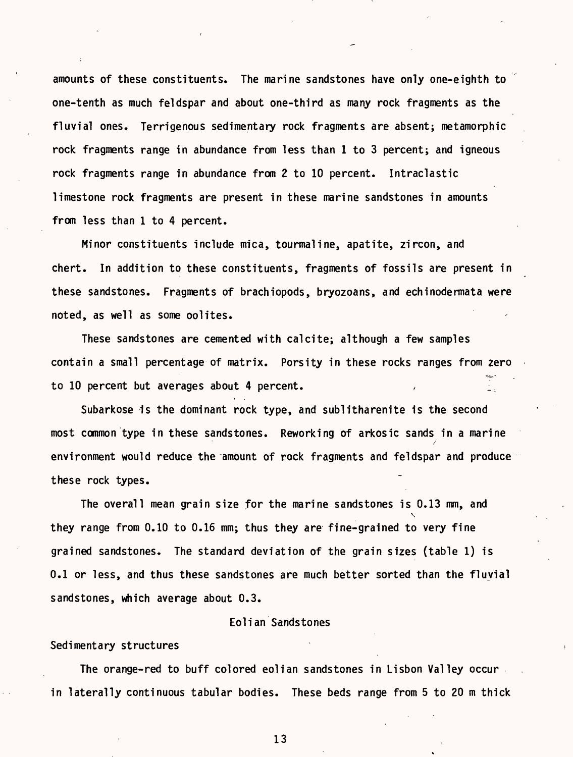amounts of these constituents. The marine sandstones have only one-eighth to one-tenth as much feldspar and about one-third as many rock fragments as the fluvial ones. Terrigenous sedimentary rock fragments are absent; metamorphic rock fragments range in abundance from less than 1 to 3 percent; and igneous rock fragments range in abundance from 2 to 10 percent. Intraclastic limestone rock fragments are present in these marine sandstones in amounts from less than 1 to 4 percent.

Minor constituents include mica, tourmaline, apatite, zircon, and chert. In addition to these constituents, fragments of fossils are present in these sandstones. Fragments of brachiopods, bryozoans, and echinodermata were noted, as well as some oolites.

These sandstones are cemented with calcite; although a few samples contain a small percentage of matrix. Porsity in these rocks ranges from zero to 10 percent but averages about 4 percent.

Subarkose is the dominant rock type, and sublitharenite is the second most common type in these sandstones. Reworking of arkosic sands in a marine / environment would reduce the amount of rock fragments and feldspar and produce these rock types.

The overall mean grain size for the marine sandstones is 0.13 mm, and  $\checkmark$ they range from 0.10 to 0.16 mm; thus they are fine-grained to very fine grained sandstones. The standard deviation of the grain sizes (table 1) is 0.1 or less, and thus these sandstones are much better sorted than the fluvial sandstones, which average about 0.3.

#### Eolian Sandstones

#### Sedimentary structures

The orange-red to buff colored eolian sandstones in Lisbon Valley occur in laterally continuous tabular bodies. These beds range from 5 to 20 m thick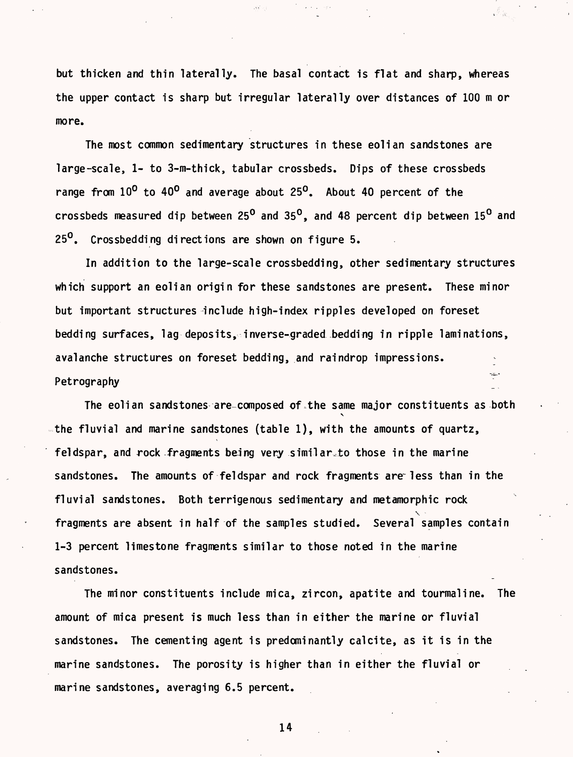but thicken and thin laterally. The basal contact is flat and sharp, whereas the upper contact is sharp but irregular laterally over distances of 100 m or more.

The most common sedimentary structures in these eolian sandstones are large-scale, 1- to 3-m-thick, tabular crossbeds. Dips of these crossbeds range from 10° to 40° and average about 25°. About 40 percent of the crossbeds measured dip between  $25^{\circ}$  and 35<sup>o</sup>, and 48 percent dip between 15<sup>o</sup> and 25<sup>0</sup>. Crossbedding directions are shown on figure 5.

In addition to the large-scale crossbedding, other sedimentary structures which support an eolian origin for these sandstones are present. These minor but important structures include high-index ripples developed on foreset bedding surfaces, lag deposits, inverse-graded bedding in ripple laminations, avalanche structures on foreset bedding, and raindrop impressions. Petrography

The eolian sandstones are-composed of the same major constituents as both the fluvial and marine sandstones (table 1), with the amounts of quartz, feldspar, and rock fragments being very similarto those in the marine sandstones. The amounts of feldspar and rock fragments are-less than in the fluvial sandstones. Both terrigenous sedimentary and metamorphic rock  $\checkmark$ fragments are absent in half of the samples studied. Several samples contain 1-3 percent limestone fragments similar to those noted in the marine sandstones.

The minor constituents include mica, zircon, apatite and tourmaline. The amount of mica present is much less than in either the marine or fluvial sandstones. The cementing agent is predominantly calcite, as it is in the marine sandstones. The porosity is higher than in either the fluvial or marine sandstones, averaging 6.5 percent.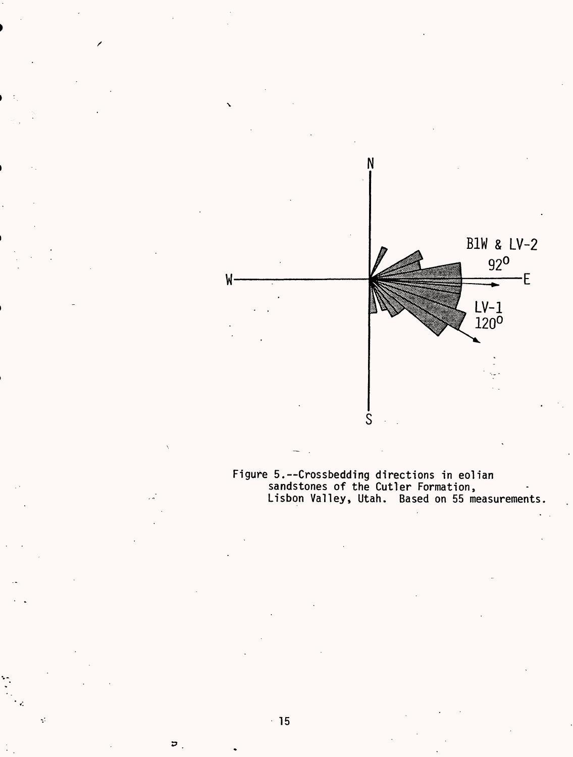

Figure 5. -- Crossbedding directions in eolian sandstones of the Cutler Formation, Lisbon Valley, Utah. Based on 55 measurements

 $\overline{v}$ .

 $\vec{\psi}$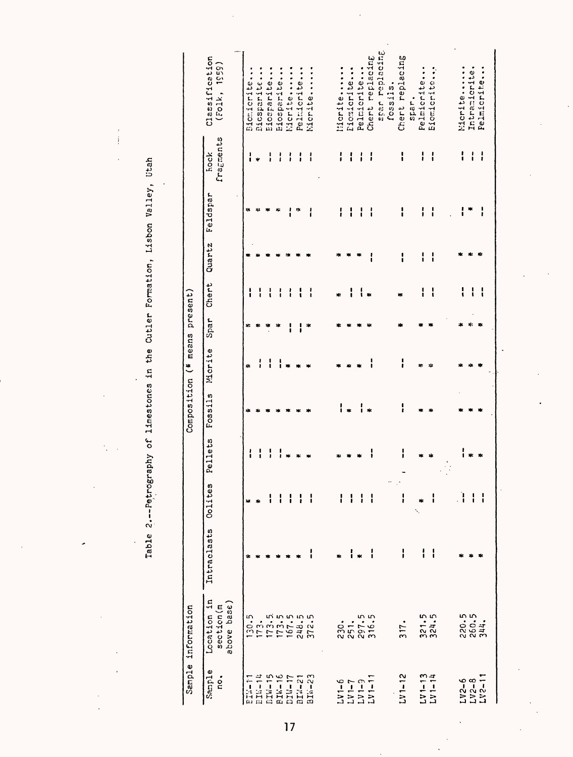$\overline{1}$ 

Table 2.--Petrography of limestones in the Cutler Formation, Lisbon Valley, Utah

×

 $\ddot{\phantom{a}}$ 

|                         | Sample information                                    |             |                      |         |         | Composition (* means present) |      |       |        |          |                   |                                |
|-------------------------|-------------------------------------------------------|-------------|----------------------|---------|---------|-------------------------------|------|-------|--------|----------|-------------------|--------------------------------|
| Sample<br>c.            | $\ddot{a}$<br>above base)<br>section(m<br>Location    | Intraclasts | Colites              | Pellets | Fossils | Micrite                       | Spar | Chert | Quartz | Feldspar | fragments<br>hock | Classification<br>(101k, 1959) |
| <b>FIN-17</b>           | 130.5                                                 | 4.          | ×                    | ί       |         | Ą.                            | ×    |       |        | ۵k       | :                 | Biomicrite.                    |
| <b>BIN-14</b>           |                                                       |             |                      |         |         |                               |      |       |        | ×,       |                   | <b>Dicsparite</b>              |
| <b>BIW-15</b>           |                                                       |             | I                    |         |         |                               |      |       |        |          | ļ                 | Eiosparite.                    |
| $BIX-16$                | $173.5$<br>$173.55$<br>$175.55$<br>$242.5$<br>$372.5$ |             |                      |         |         |                               |      |       |        | d.       |                   | Eiosparite.                    |
| $L1V-1$                 |                                                       |             |                      |         |         |                               |      |       |        |          |                   | Micrite                        |
| BIW-21                  |                                                       |             |                      |         |         |                               |      |       |        | ۰,       |                   | Pelmicrite                     |
| $BIN - 23$              |                                                       |             |                      |         |         |                               | ×    |       |        |          |                   | Nicrite                        |
|                         |                                                       |             |                      |         |         |                               |      |       |        |          |                   |                                |
| $2 - 1177$              | 230.                                                  |             | I                    |         |         |                               |      | ×.    |        |          | i                 | Micrite                        |
|                         |                                                       | i           | ł                    |         |         |                               |      | ¦     |        |          |                   | Eiomicrite                     |
| $LVI = 9$<br>$LVI = 11$ | 251.5                                                 |             |                      |         |         |                               |      |       |        |          | i                 | Pelmicrite                     |
|                         | 316.5                                                 | i           |                      |         |         |                               |      |       |        |          | i                 | Chert replacing                |
|                         |                                                       |             | $\ddot{\phantom{0}}$ |         |         |                               |      |       |        |          |                   | spar replacing<br>fossils.     |
| $UV1 - 12$              | 317.                                                  | I           | $\mathbb{R}^2$<br>I  | I       | ļ       | ļ                             |      |       | i      | I        | i                 | Chert replacing                |
|                         |                                                       |             |                      |         |         |                               |      |       |        |          |                   | spar.                          |
|                         |                                                       | ί           | 水                    |         |         |                               |      |       | i      |          | ļ                 | Pelmicrite.                    |
| $LV1-13$<br>$LV1-14$    | $321.5$<br>$324.5$                                    | I           | i                    |         |         |                               |      | ί     | i      | i        | i                 | Eiomicrite                     |
|                         |                                                       |             |                      |         |         |                               |      |       |        |          |                   |                                |
|                         |                                                       |             | Ì                    |         |         |                               |      |       |        |          | i                 | Micrite                        |
|                         |                                                       |             |                      |         |         |                               |      |       |        |          | ί                 | Intramicrite.                  |
| $L_V2-6$<br>$L_V2-11$   | 220.5<br>260.5<br>344.                                |             |                      |         |         |                               |      | ់     |        |          | ļ                 | Pelmicrite                     |
|                         |                                                       |             |                      |         |         |                               |      |       |        |          |                   |                                |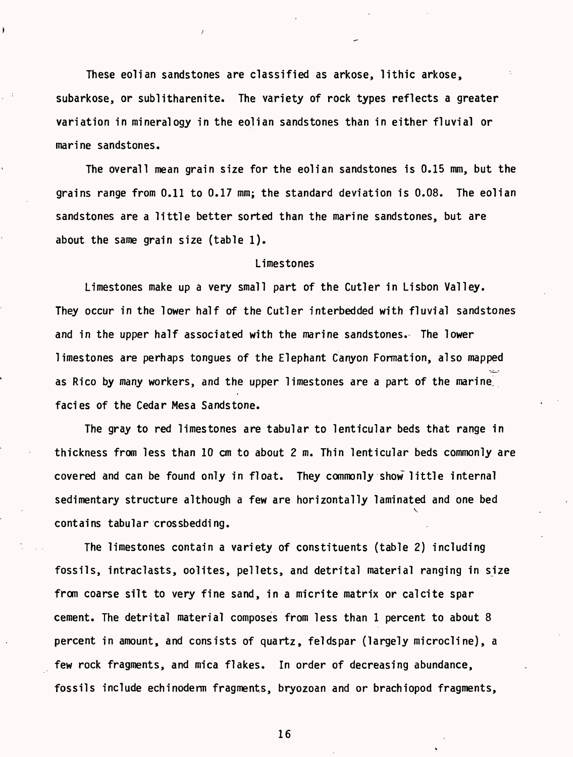These eolian sandstones are classified as arkose, lithic arkose, subarkose, or sublitharenite. The variety of rock types reflects a greater variation in mineralogy in the eolian sandstones than in either fluvial or marine sandstones.

The overall mean grain size for the eolian sandstones is 0.15 mm, but the grains range from 0.11 to 0.17 mm; the standard deviation is 0.08. The eolian sandstones are a little better sorted than the marine sandstones, but are about the same grain size (table 1).

#### Limestones

Limestones make up a very small part of the Cutler in Lisbon Valley. They occur in the lower half of the Cutler interbedded with fluvial sandstones and in the upper half associated with the marine sandstones. The lower limestones are perhaps tongues of the Elephant Canyon Formation, also mapped as Rico by many workers, and the upper limestones are a part of the marine, facies of the Cedar Mesa Sandstone.

The gray to red limestones are tabular to lenticular beds that range in thickness from less than 10 cm to about 2 m. Thin lenticular beds commonly are covered and can be found only in float. They commonly show little internal sedimentary structure although a few are horizontally laminated and one bed  $\checkmark$ contains tabular crossbedding.

The limestones contain a variety of constituents (table 2) including fossils, intraclasts, oolites, pellets, and detrital material ranging in size from coarse silt to very fine sand, in a micrite matrix or calcite spar cement. The detrital material composes from less than 1 percent to about 8 percent in amount, and consists of quartz, feldspar (largely microcline), a few rock fragments, and mica flakes. In order of decreasing abundance, fossils include echinoderm fragments, bryozoan and or brachiopod fragments,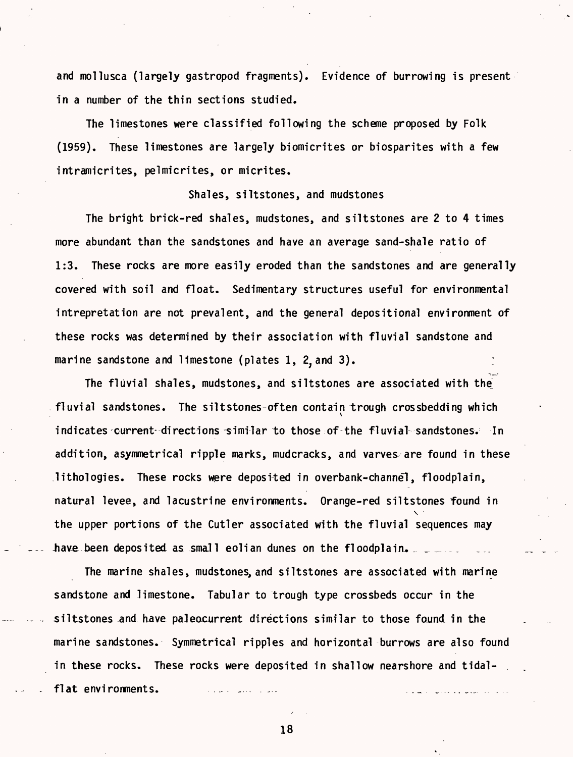and mollusca (largely gastropod fragments). Evidence of burrowing is present in a number of the thin sections studied.

The limestones were classified following the scheme proposed by Folk (1959). These limestones are largely biomicrites or biosparites with a few intramicrites, pelmicrites, or micrites.

#### Shales, siltstones, and mudstones

The bright brick-red shales, mudstones, and siltstones are 2 to 4 times more abundant than the sandstones and have an average sand-shale ratio of 1:3. These rocks are more easily eroded than the sandstones and are generally covered with soil and float. Sedimentary structures useful for environmental intrepretation are not prevalent, and the general depositional environment of these rocks was determined by their association with fluvial sandstone and marine sandstone and limestone (plates 1, 2, and 3).

The fluvial shales, mudstones, and siltstones are associated with the fluvial sandstones. The siltstones-often contain trough crossbedding which indicates current-directions similar to those of the fluvial sandstones. In addition, asymmetrical ripple marks, mudcracks, and varves are found in these  $l$ ithologies. These rocks were deposited in overbank-channel, floodplain, natural levee, and lacustrine environments. Orange-red siltstones found in  $\ddot{\phantom{0}}$ the upper portions of the Cutler associated with the fluvial sequences may have been deposited as small eolian dunes on the floodplain.

The marine shales, mudstones, and siltstones are associated with marine sandstone and limestone. Tabular to trough type crossbeds occur in the ^siltstones and have paJeocurrent directions similar to those found in the marine sandstones. Symmetrical ripples and horizontal burrows are also found in these rocks. These rocks were deposited in shallow nearshore and tidalflat environments.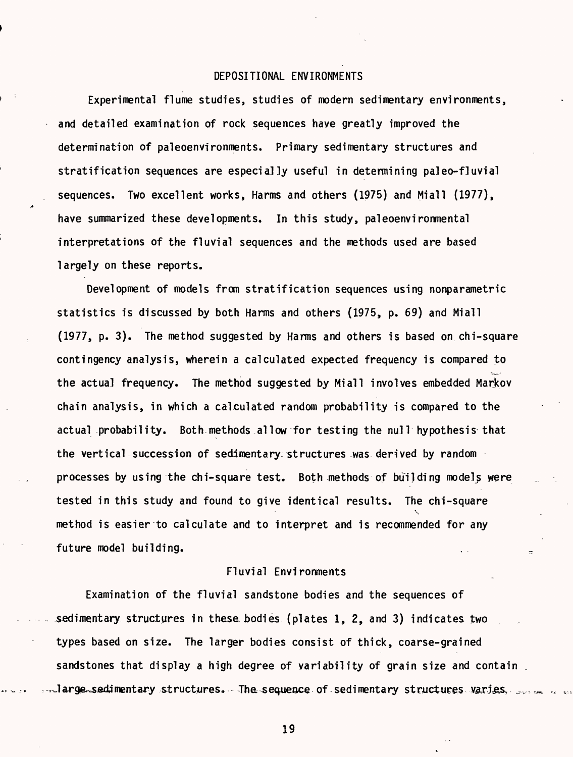#### DEPOSITIONAL ENVIRONMENTS

Experimental flume studies, studies of modern sedimentary environments, and detailed examination of rock sequences have greatly improved the determination of paleoenvironments. Primary sedimentary structures and stratification sequences are especially useful in determining paleo-fluvial sequences. Two excellent works, Harms and others (1975) and Miall (1977), have summarized these developments. In this study, paleoenvironmental interpretations of the fluvial sequences and the methods used are based largely on these reports.

Development of models from stratification sequences using nonparametric statistics is discussed by both Harms and others (1975, p. 69) and Miall (1977, p. 3). The method suggested by Harms and others is based on chi-square contingency analysis, wherein a calculated expected frequency is compared to the actual frequency. The method suggested by Miall involves embedded Markov chain analysis, in which a calculated random probability is compared to the actual probability. Both methods allow for testing the null hypothesis that the vertical succession of sedimentary structures -was derived by random processes by using the chi-square test. Both methods of building model^ were tested in this study and found to give identical results. The chi-square V method is easier to calculate and to interpret and is recommended for any future model building.

## Fluvial Environments

Examination of the fluvial sandstone bodies and the sequences of sedimentary structures in these bodies (plates 1, 2, and 3) indicates two types based on size. The larger bodies consist of thick, coarse-grained sandstones that display a high degree of variability of grain size and contain.  ${\tt Jarge\_sed}$ imentary structures. The sequence of sedimentary structures varies,  $\Box$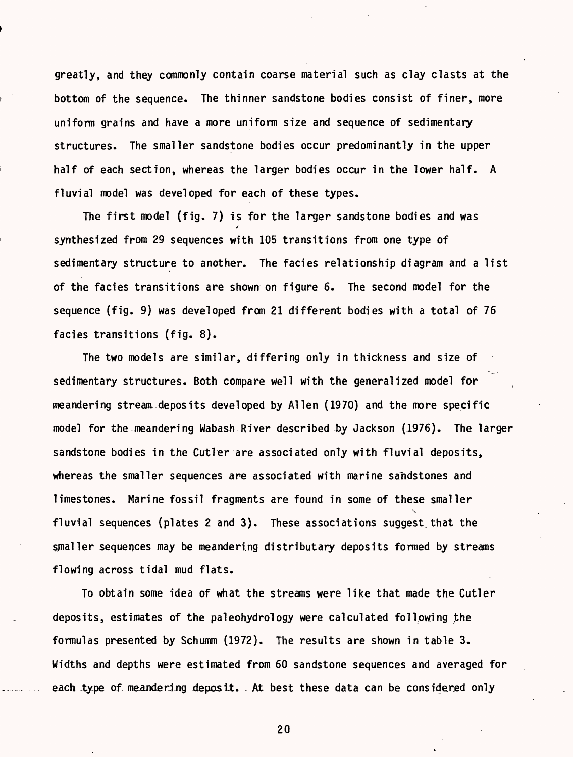greatly, and they commonly contain coarse material such as clay clasts at the bottom of the sequence. The thinner sandstone bodies consist of finer, more uniform grains and have a more uniform size and sequence of sedimentary structures. The smaller sandstone bodies occur predominantly in the upper half of each section, whereas the larger bodies occur in the lower half. A fluvial model was developed for each of these types.

The first model (fig. 7) is for the larger sandstone bodies and was / synthesized from 29 sequences with 105 transitions from one type of sedimentary structure to another. The facies relationship diagram and a list of the facies transitions are shown on figure 6. The second model for the sequence (fig. 9) was developed from 21 different bodies with a total of 76 facies transitions (fig. 8).

The two models are similar, differing only in thickness and size of sedimentary structures. Both compare well with the generalized model for meandering stream deposits developed by Alien (1970) and the more specific model for the meandering Wabash River described by Jackson (1976). The larger sandstone bodies in the Cutler are associated only with fluvial deposits, whereas the smaller sequences are associated with marine sandstones and limestones. Marine fossil fragments are found in some of these smaller  $\checkmark$ fluvial sequences (plates 2 and 3). These associations suggest.that the smaller sequences may be meandering distributary deposits formed by streams flowing across tidal mud flats.

To obtain some idea of what the streams were like that made the Cutler deposits, estimates of the paleohydrology were calculated following the formulas presented by Schumm (1972). The results are shown in table 3. Widths and depths were estimated from 60 sandstone sequences and averaged for each type of meandering deposit. At best these data can be considered only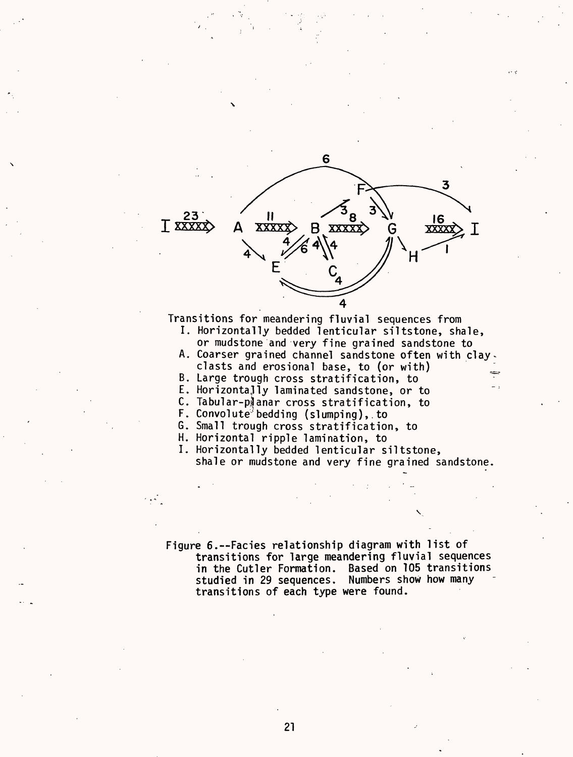

Transitions for meandering fluvial sequences from

- I. Horizontally bedded lenticular siltstone, shale, or mudstone and very fine grained sandstone to
- A. Coarser grained channel sandstone often with clay clasts and erosional base, to (or with)
- B. Large trough cross stratification, to
- E. Horizontally laminated sandstone, or to
- C. Tabular-planar cross stratification, to
- F. Convolute<sup>3</sup> bedding (slumping), to
- G. Small trough cross stratification, to
- H. Horizontal ripple lamination, to
- I. Horizontally bedded lenticular siltstone, shale or mudstone and very fine grained sandstone.

Figure 6.--Facies relationship diagram with list of transitions for large meandering fluvial sequences in the Cutler Formation. Based on 105 transitions studied in 29 sequences. Numbers show how many transitions of each type were found.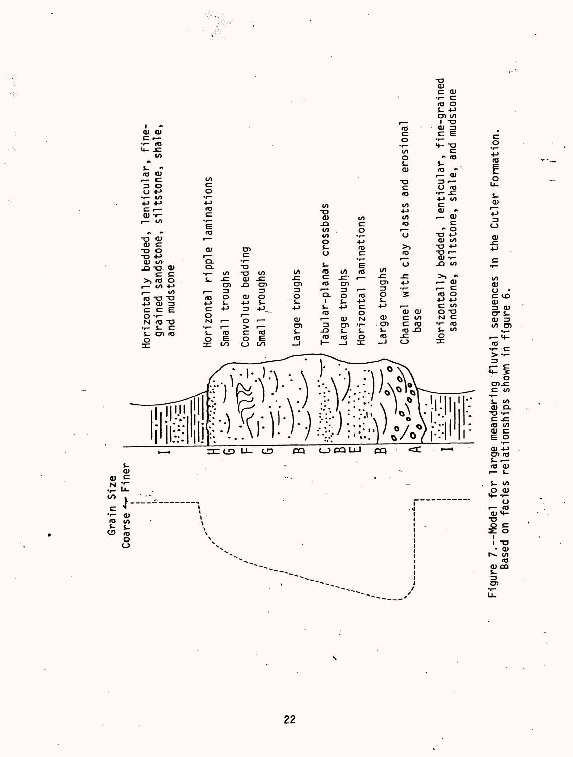

.<br>.<br>.

**ro**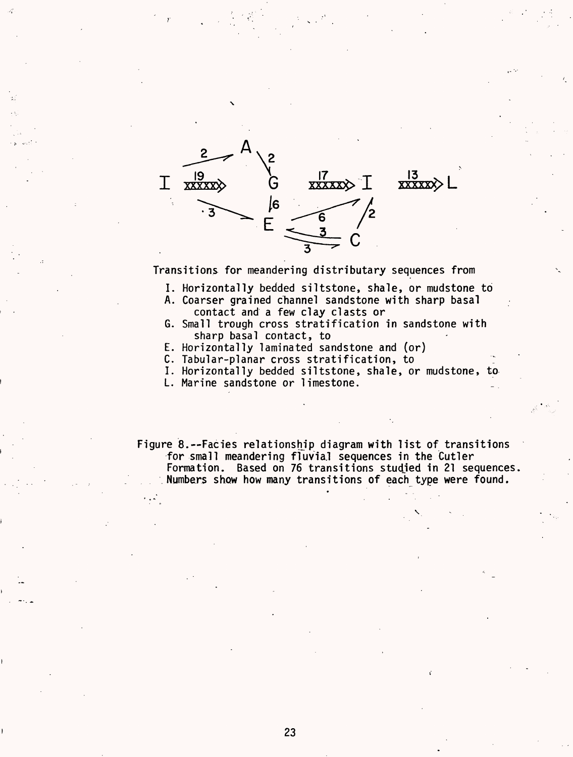![](_page_26_Figure_0.jpeg)

Transitions for meandering distributary sequences from

- I. Horizontally bedded siltstone, shale, or mudstone to
- A. Coarser grained channel sandstone with sharp basal contact and a few clay clasts or
- G. Small trough cross stratification in sandstone with sharp basal contact, to
- E. Horizontally laminated sandstone and (or)
- C. Tabular-planar cross stratification, to
- I. Horizontally bedded siltstone, shale, or mudstone, to
- L. Marine sandstone or limestone.

Figure 8.--Facies relationship diagram with list of transitions for small meandering fluvial sequences in the Cutler Formation. Based on 76 transitions studjed in 21 sequences Numbers show how many transitions of each type were found.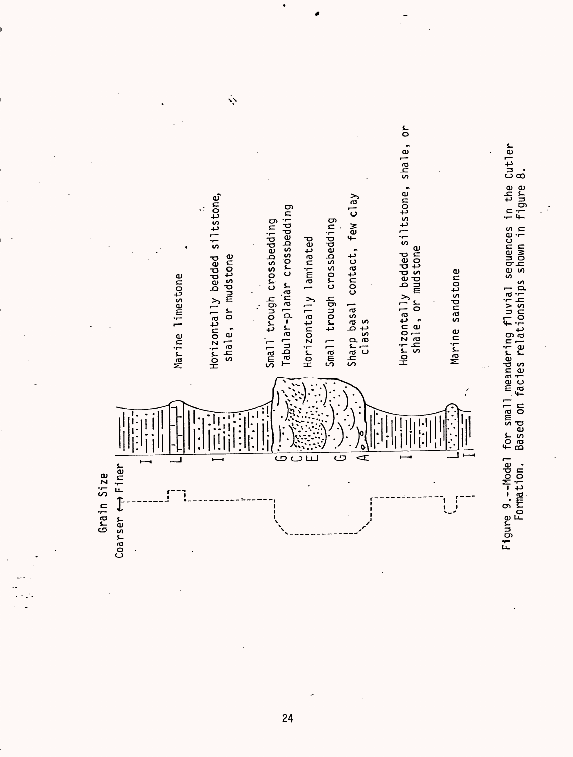![](_page_27_Figure_0.jpeg)

 $\ddot{\phi}$ 

Figure 9.--Model for small meandering fluvial sequences in the Cutler Figure 9.--Model for small meandering fluvial sequences in the Cutler<br>Formation. Based on facies relationships shown in figure 8. Formation. Based on facies relationships shown in figure 8.

**PO**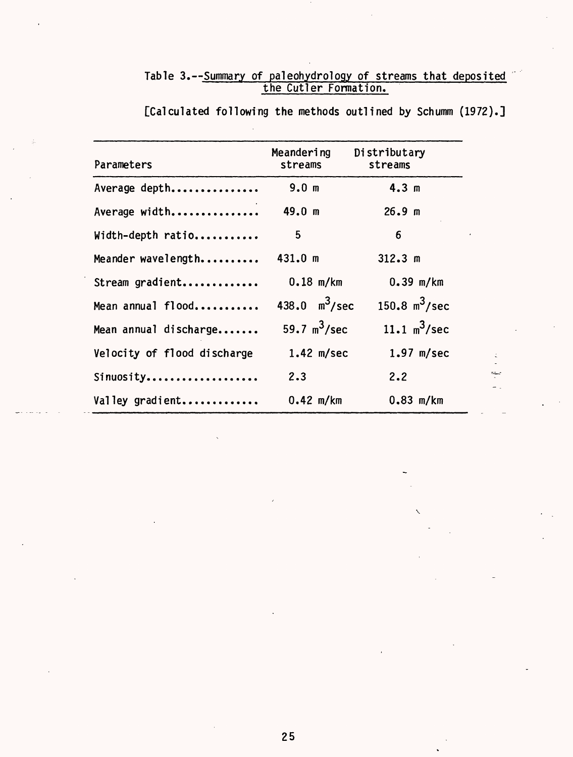# Table 3.--Summary of paleohydrology of streams that deposited the Cutler Formation.

| Parameters                  | Meandering<br>streams | Distributary<br>streams |
|-----------------------------|-----------------------|-------------------------|
| Average depth               | 9.0 <sub>m</sub>      | 4.3 m                   |
| Average width               | 49.0 m                | 26.9 <sub>m</sub>       |
| Width-depth ratio           | 5                     | 6                       |
| Meander wavelength          | 431.0 m               | 312.3 m                 |
| Stream gradient             | $0.18$ m/km           | $0.39$ m/km             |
| Mean annual flood           | 438.0 $m^3$ /sec      | 150.8 $m^3$ /sec        |
| Mean annual discharge       | 59.7 $m^3$ /sec       | 11.1 $m^3$ /sec         |
| Velocity of flood discharge | $1.42$ m/sec          | $1.97$ m/sec            |
| Sinuosity                   | 2.3                   | 2.2                     |
| Valley gradient             | $0.42$ m/km           | $0.83$ m/km             |

[Calculated following the methods outlined by Schumm (1972).]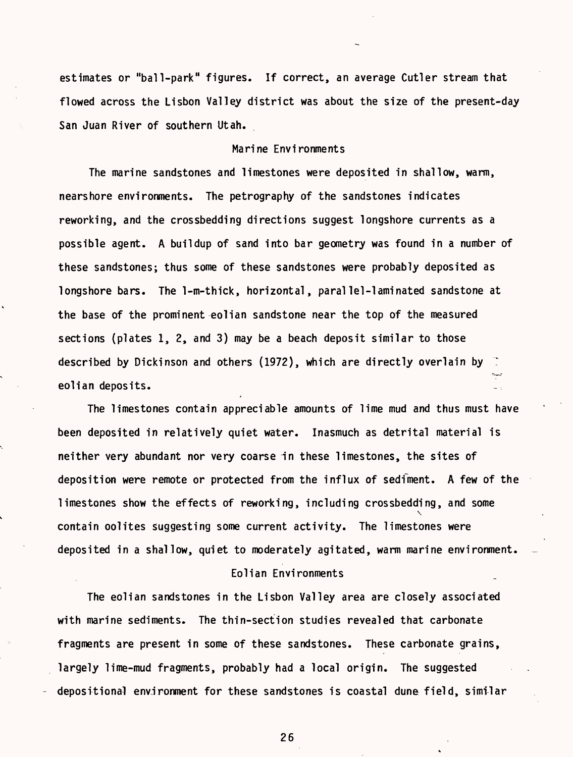estimates or "ball-park" figures. If correct, an average Cutler stream that flowed across the Lisbon Valley district was about the size of the present-day San Juan River of southern Utah.

# Marine Environments

The marine sandstones and limestones were deposited in shallow, warm, nearshore environments. The petrography of the sandstones indicates reworking, and the crossbedding directions suggest longshore currents as a possible agent. A buildup of sand into bar geometry was found in a number of these sandstones; thus some of these sandstones were probably deposited as longshore bars. The 1-m-thick, horizontal, parallei-laminated sandstone at the base of the prominent eolian sandstone near the top of the measured sections (plates 1, 2, and 3) may be a beach deposit similar to those described by Dickinson and others (1972), which are directly overlain by 7 eolian deposits.

The limestones contain appreciable amounts of lime mud and thus must have been deposited in relatively quiet water. Inasmuch as detrital material is neither very abundant nor very coarse in these limestones, the sites of deposition were remote or protected from the influx of sedfment. A few of the limestones show the effects of reworking, including crossbedding, and some  $\mathbf{v}_i$ contain oolites suggesting some current activity. The limestones were deposited in a shallow, quiet to moderately agitated, warm marine environment.

## Eolian Environments

The eolian sandstones in the Lisbon Valley area are closely associated with marine sediments. The thin-section studies revealed that carbonate fragments are present in some of these sandstones. These carbonate grains, largely lime-mud fragments, probably had a local origin. The suggested depositional environment for these sandstones is coastal dune field, similar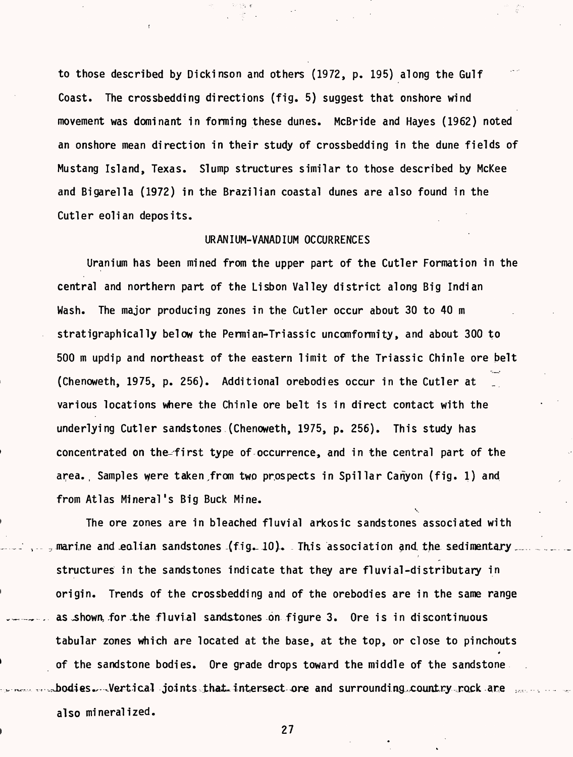to those described by Dickinson and others (1972, p. 195) along the Gulf Coast. The crossbedding directions (fig. 5) suggest that onshore wind movement was dominant in forming these dunes. McBride and Hayes (1962) noted an onshore mean direction in their study of crossbedding in the dune fields of Mustang Island, Texas. Slump structures similar to those described by McKee and Bigarella (1972) in the Brazilian coastal dunes are also found in the Cutler eolian deposits.

#### URANIUM-VANADIUM OCCURRENCES

Uranium has been mined from the upper part of the Cutler Formation in the central and northern part of the Lisbon Valley district along Big Indian Wash. The major producing zones in the Cutler occur about 30 to 40 m stratigraphically below the Permian-Triassic uncomformity, and about 300 to 500 m updip and northeast of the eastern limit of the Triassic Chinle ore belt (Chenoweth, 1975, p. 256). Additional orebodies occur in the Cutler at various locations where the Chinle ore belt is in direct contact with the underlying Cutler sandstones (Chenoweth, 1975, p. 256). This study has concentrated on the-first type of occurrence, and in the central part of the area., Samples were taken,from two prospects in Spillar Canyon (fig. 1) and from Atlas Mineral's Big Buck Mine.  $\ddot{\phantom{0}}$ 

The ore zones are in bleached fluvial arkosic sandstones associated with marine and eolian sandstones  $\{\text{fig. 10}\}$ . This association and the sedimentary, structures in the sandstones indicate that they are fluvial-distributary in origin. Trends of the crossbedding and of the orebodies are in the same range as shown, for the fluvial sandstones on figure 3. Ore is in discontinuous tabular zones which are located at the base, at the top, or close to pinchouts of the sandstone bodies. Ore grade drops toward the middle of the sandstone  $3$ odies $\cdots$ Vertical joints that intersect ore and surrounding country rock are also mineralized.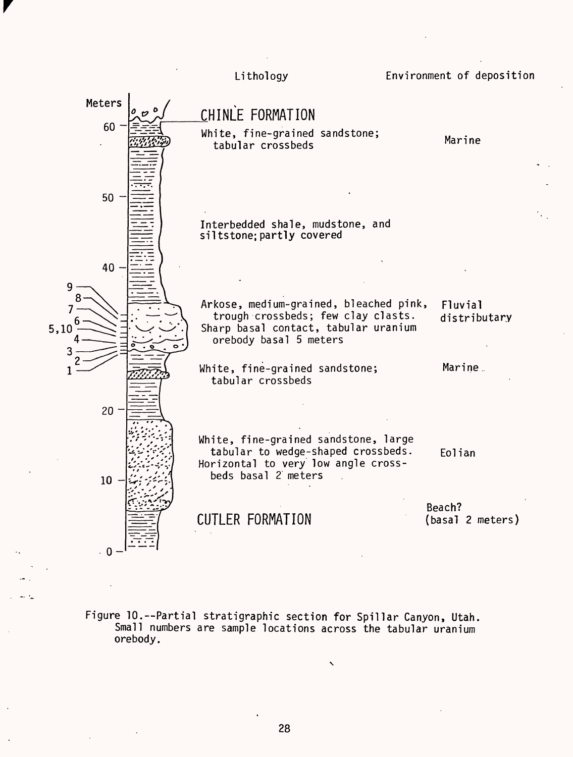![](_page_31_Figure_0.jpeg)

Figure 10.--Partial stratigraphic section for Spillar Canyon, Utah. Small numbers are sample locations across the tabular uranium orebody.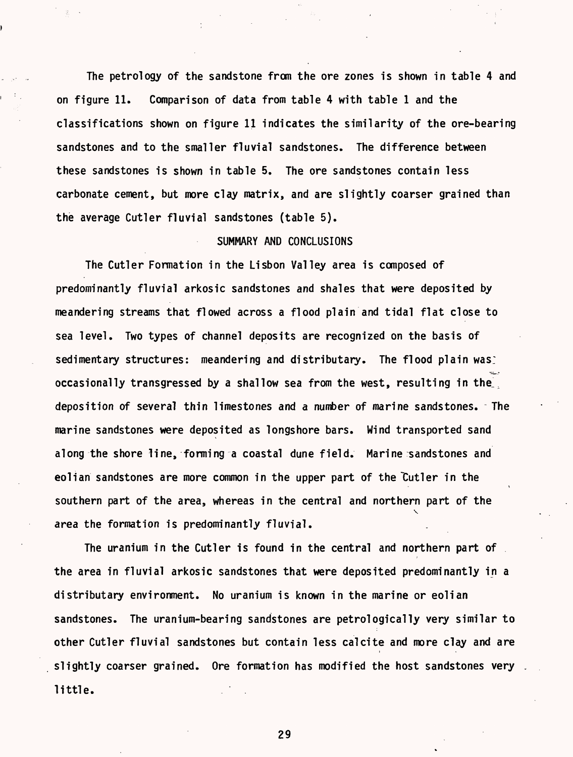The petrology of the sandstone from the ore zones is shown in table 4 and on figure 11. Comparison of data from table 4 with table 1 and the classifications shown on figure 11 indicates the similarity of the ore-bearing sandstones and to the smaller fluvial sandstones. The difference between these sandstones is shown in table 5. The ore sandstones contain less carbonate cement, but more clay matrix, and are slightly coarser grained than the average Cutler fluvial sandstones (table 5).

# SUMMARY AND CONCLUSIONS

The Cutler Formation in the Lisbon Valley area is composed of predominantly fluvial arkosic sandstones and shales that were deposited by meandering streams that flowed across a flood plain and tidal flat close to sea level. Two types of channel deposits are recognized on the basis of sedimentary structures: meandering and distributary. The flood plain was: occasionally transgressed by a shallow sea from the west, resulting in the deposition of several thin limestones and a number of marine sandstones. The marine sandstones were deposited as longshore bars. Wind transported sand along the shore line, forming a coastal dune field. Marine sandstones and eolian sandstones are more common in the upper part of the "Cutler in the southern part of the area, whereas in the central and northern part of the  $\checkmark$ area the formation is predominantly fluvial.

The uranium in the Cutler is found in the central and northern part of the area in fluvial arkosic sandstones that were deposited predominantly in a distributary environment. No uranium is known in the marine or eolian sandstones. The uranium-bearing sandstones are petrologically very similar to other Cutler fluvial sandstones but contain less calcite and more clay and are slightly coarser grained. Ore formation has modified the host sandstones very little.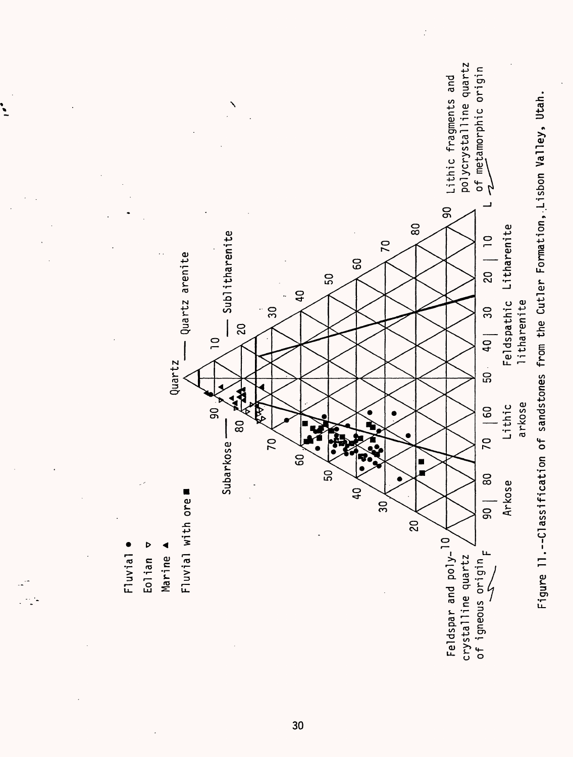![](_page_33_Figure_0.jpeg)

**CO**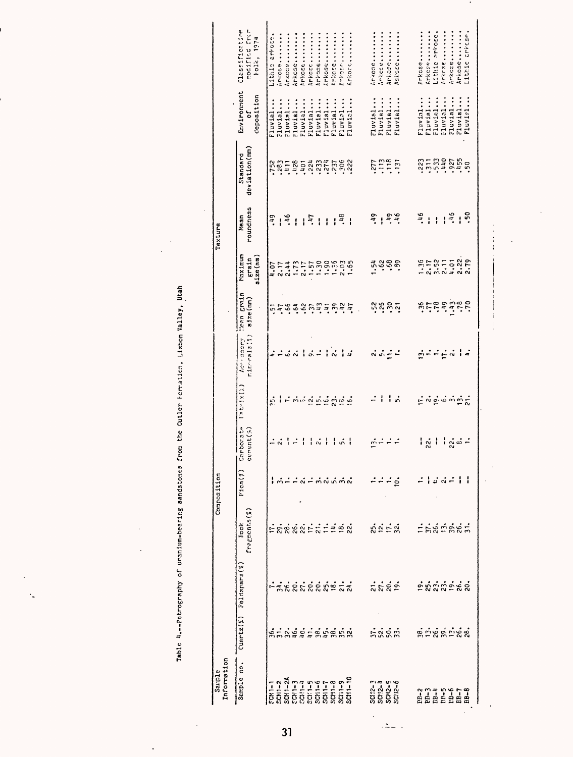Table 4.--Petrography of uranium-bearing sandstones from the Outler Formation, Lisbon Walley, Utah

 $\ddot{\phantom{a}}$ 

 $\ddot{\phantom{0}}$ 

| Information<br>Sample                  |                          |                          |                                                | Composition                                                           |                                                         |                                                                  |                                           |                              |                               | Texture           |                           |                                |                                               |
|----------------------------------------|--------------------------|--------------------------|------------------------------------------------|-----------------------------------------------------------------------|---------------------------------------------------------|------------------------------------------------------------------|-------------------------------------------|------------------------------|-------------------------------|-------------------|---------------------------|--------------------------------|-----------------------------------------------|
| Sample no.                             | $C$ uartz $(\hat{z})$    | Feldspars(%)             | fragments(%)<br><b>Tock</b>                    | V1c7(1)                                                               | Carbonate<br>cerent (%)                                 | $(20x(x+1)^2)$                                                   | $rtr \cdot rad(1)$<br>her casery          | Tean grain<br>$s1$ ze $(mn)$ | Maximum<br>size(r.m)<br>Erain | roundness<br>Mean | deviation(mm)<br>Standard | Environment<br>deposition<br>៵ | Classification<br>modified from<br>Folk, 1974 |
|                                        | $S - N = 1$              |                          |                                                |                                                                       |                                                         | ္သံ                                                              |                                           |                              | 10.1                          | 24                |                           | Fluvial                        | Lithic arrote.                                |
|                                        |                          |                          |                                                |                                                                       |                                                         |                                                                  |                                           |                              |                               |                   |                           | Fluvial                        | AMKOSS-                                       |
|                                        |                          |                          |                                                |                                                                       |                                                         |                                                                  |                                           |                              |                               | $1\frac{9}{7}$    |                           | Fluvial                        | <b>Investerance</b>                           |
|                                        |                          |                          |                                                |                                                                       | ニベーニー                                                   |                                                                  | $\frac{1}{2} - \frac{1}{2} - \frac{1}{2}$ |                              | $2.47$<br>$2.47$<br>$2.77$    | $\mathbf{I}$      |                           | Fluvial                        | Arkose                                        |
|                                        |                          |                          |                                                |                                                                       |                                                         |                                                                  |                                           |                              |                               | $\mathbf{I}$      |                           | Fluvial                        | Arkose                                        |
|                                        |                          |                          |                                                | $\vec{a}$ $\vec{r}$ $\vec{m}$ $\vec{a}$ $\vec{m}$ $\vec{m}$ $\vec{a}$ |                                                         |                                                                  | $16 - 16$                                 |                              |                               | $\frac{47}{4}$    |                           | Fluvial                        | 4rkccc                                        |
|                                        |                          |                          |                                                |                                                                       | $\frac{1}{2}$ or $\frac{1}{2}$                          |                                                                  |                                           |                              |                               |                   |                           | Fluvial.                       | hrkose                                        |
|                                        |                          |                          |                                                |                                                                       |                                                         |                                                                  |                                           |                              |                               |                   |                           | Fluvial                        | (rkoselition)                                 |
|                                        |                          |                          |                                                |                                                                       |                                                         |                                                                  |                                           |                              |                               |                   |                           | Fluvial                        | <b>PROSE</b> .                                |
|                                        |                          |                          |                                                |                                                                       | ا شا                                                    |                                                                  |                                           |                              |                               | $11^{2}$          |                           | Fluvisl                        | <b></b>                                       |
|                                        |                          | ส์ ซึ่งผู้จัดต้องสั      | ERRRRETIIR                                     |                                                                       |                                                         | $1 - 5$ $\ldots$ $0$ $\leq$ $0$ $\leq$ $0$ $\leq$ $0$ $\leq$ $0$ | $\frac{1}{4}$                             | niederuituit                 |                               |                   |                           | Fluvisl                        |                                               |
|                                        |                          |                          |                                                |                                                                       |                                                         |                                                                  |                                           | $\ddot{\phantom{a}}$         |                               |                   |                           |                                |                                               |
|                                        |                          |                          |                                                |                                                                       |                                                         | $\mathbf{L}$                                                     |                                           |                              | 1.54                          | $54^{\circ}$      |                           | Fluvial                        | Arkose                                        |
|                                        |                          |                          |                                                |                                                                       |                                                         | ł                                                                |                                           |                              |                               |                   |                           | Fluvial                        | <b>Anicos e viviliano</b>                     |
| SCII2-3<br>SCII2-4<br>SCN2-6<br>SCN2-6 | ភ្នំជូនឆ្នាំ             | ភ្លុំកំពុំ               | $\mathbb{S} \cong \mathbb{S} \cong \mathbb{S}$ |                                                                       | édde                                                    |                                                                  | $\vec{a}$ $\vec{a} \neq$                  | ដូងទំន                       | ្លុំកំង                       | 1, 3, 6           |                           | Fluvial                        | Arkose <sub>nent</sub> in                     |
|                                        |                          |                          |                                                | $\dot{\mathbf{e}}$                                                    |                                                         | ة ا                                                              |                                           |                              |                               |                   |                           | Fluvial                        | 15ksce                                        |
|                                        |                          |                          |                                                |                                                                       |                                                         |                                                                  |                                           |                              |                               |                   |                           |                                |                                               |
| anang pang                             | <u> ឌុំជំនុំដំបូន្មី</u> |                          |                                                |                                                                       |                                                         |                                                                  |                                           |                              |                               | 34.               |                           | Fluvial                        | Frkcse                                        |
|                                        |                          |                          |                                                |                                                                       | ၊ ဇွူ ၊                                                 |                                                                  |                                           |                              |                               | $\mathbf{I}$      |                           | Fluvial                        | Arkcse                                        |
|                                        |                          | <u>ต้ผู้ผู้ผู้ตัด</u> ส่ | ingrage                                        | ະ∴∾                                                                   |                                                         | $\leq$ $\sim$ $\leq$ $\sim$ $\sim$ $\sim$ $\sim$                 | øff∈vla                                   | artating                     |                               | $\mathbf{I}$      |                           | Fluvial                        | Lithic arrose.                                |
|                                        |                          |                          |                                                |                                                                       |                                                         |                                                                  |                                           |                              |                               |                   |                           | Fluvial                        | <b>Linkcse</b>                                |
|                                        |                          |                          |                                                |                                                                       |                                                         |                                                                  |                                           |                              |                               | 1.46              |                           | Fluvial                        | arkose                                        |
|                                        |                          |                          |                                                |                                                                       | $\frac{1}{2}$ $\frac{3}{2}$ $\frac{3}{2}$ $\frac{3}{2}$ |                                                                  |                                           |                              |                               | ł                 |                           | Fluvial                        | <b>Inkose </b>                                |
|                                        |                          |                          |                                                |                                                                       |                                                         |                                                                  |                                           |                              |                               | ះុំ               |                           | Fluvisl                        | Lithic arrese                                 |
|                                        |                          |                          |                                                |                                                                       |                                                         |                                                                  |                                           |                              |                               |                   |                           |                                |                                               |

 $\cdot$ 

 $31$ 

 $\Delta$ 

 $\overline{a}$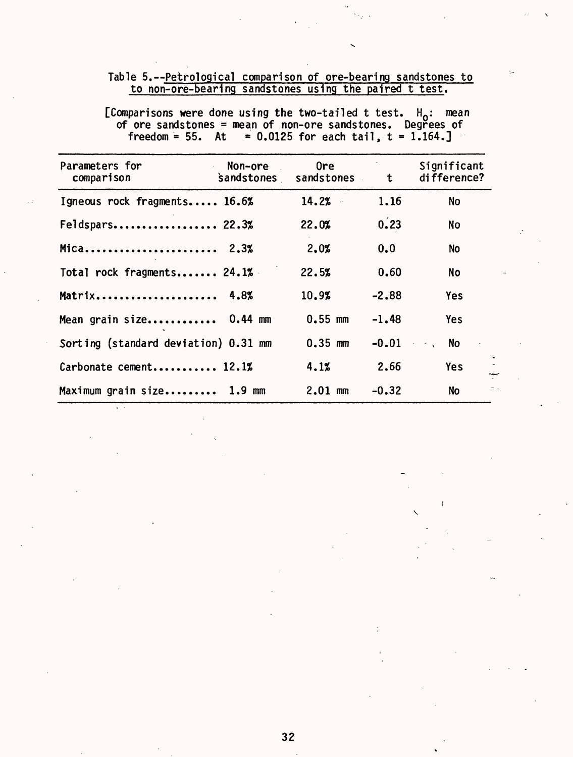# Table 5.--Petrological comparison of ore-bearing sandstones to to non-ore-bearing sandstones using the paired t test.

[Comparisons were done using the two-tailed t test. H<sub>o</sub>: mean of ore sandstones = mean of non-ore sandstones. Degrees of freedom =  $55.$  At =  $0.0125$  for each tail, t =  $1.164.$ 

| Parameters for<br>Non-ore<br>comparison | 0re<br>sandstones sandstones | t       | Significant<br>difference? |
|-----------------------------------------|------------------------------|---------|----------------------------|
| Igneous rock fragments 16.6%            | 14.2%<br>$\bar{\beta}$       | 1.16    | <b>No</b>                  |
| Feldspars 22.3%                         | 22.0%                        | 0.23    | No                         |
| Mica 2.3%                               | 2.0%                         | 0.0     | <b>No</b>                  |
| Total rock fragments 24.1%              | 22.5%                        | 0.60    | <b>No</b>                  |
| Matrix 4.8%                             | 10.9%                        | $-2.88$ | Yes                        |
| Mean grain size 0.44 mm                 | $0.55$ mm                    | $-1.48$ | <b>Yes</b>                 |
| Sorting (standard deviation) 0.31 mm    | $0.35$ mm                    | $-0.01$ | <b>No</b>                  |
| Carbonate cement 12.1%                  | 4.1%                         | 2.66    | <b>Yes</b><br>na,          |
| Maximum grain size 1.9 mm               | $2.01$ mm                    | $-0.32$ | <b>No</b>                  |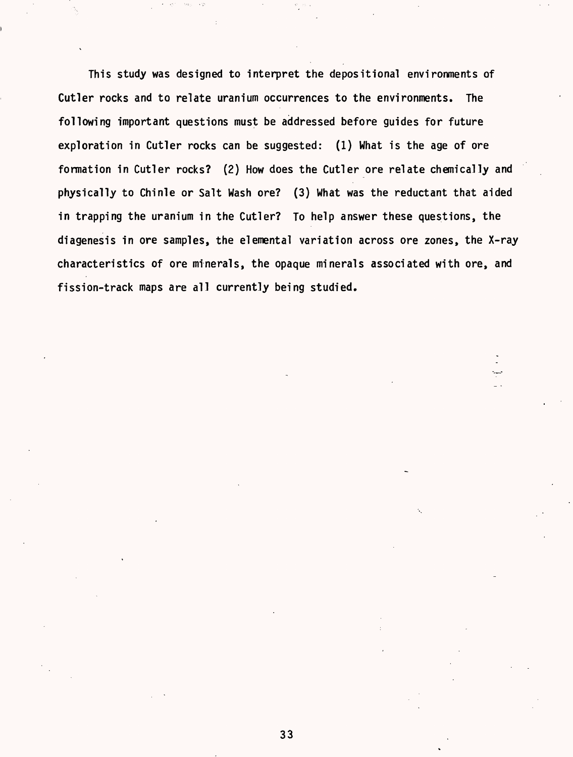This study was designed to interpret the depositional environments of Cutler rocks and to relate uranium occurrences to the environments. The following important questions must be addressed before guides for future exploration in Cutler rocks can be suggested: (1) What is the age of ore formation in Cutler rocks? (2) How does the Cutler ore relate chemically and physically to Chinle or Salt Wash ore? (3) What was the reductant that aided in trapping the uranium in the Cutler? To help answer these questions, the diagenesis in ore samples, the elemental variation across ore zones, the X-ray characteristics of ore minerals, the opaque minerals associated with ore, and fission-track maps are all currently being studied.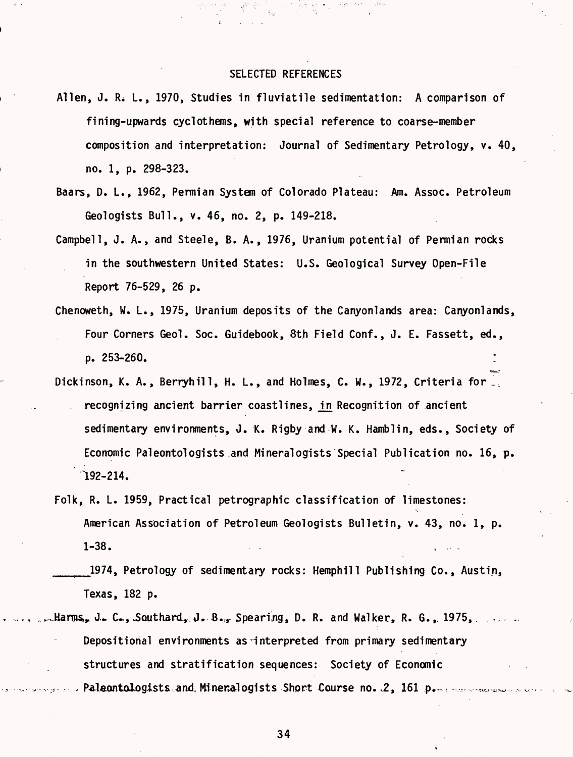#### SELECTED REFERENCES

- Allen, J. R. L., 1970, Studies in fluviatile sedimentation: A comparison of fining-upwards cyclothems, with special reference to coarse-member composition and interpretation: Journal of Sedimentary Petrology, v. 40, no. 1, p. 298-323.
- Baars, D. L., 1962, Permian System of Colorado Plateau: Am. Assoc. Petroleum Geologists Bull., v. 46, no. 2, p. 149-218.
- Campbell, J. A., and Steele, B. A., 1976, Uranium potential of Permian rocks in the southwestern United States: U.S. Geological Survey Open-File Report 76-529, 26 p.
- Chenoweth, W. L., 1975, Uranium deposits of the Canyonlands area: Canyonlands, Four Corners Geol. Soc. Guidebook, 8th Field Conf., J. E. Fassett, ed., p. 253-260.
- Dickinson, K. A., Berryhill, H. L., and Holmes, C. W., 1972, Criteria for \_, recognizing ancient barrier coastlines, in Recognition of ancient sedimentary environments, J. K. Rigby and W. K. Hamblin, eds., Society of Economic Paleontologists .and Mineralogists Special Publication no. 16, p.  $192 - 214.$
- Folk, R. L. 1959, Practical petrographic classification of limestones: American Association of Petroleum Geologists Bulletin, v. 43, no. 1, p. 1-38.  $\blacksquare$
- \_\_\_\_1974, Petrology of sedimentary rocks: Hemphill Publishing Co., Austin, Texas, 182 p.
- Harms, J. C., Southard, J. B., Spearing, D. R. and Walker, R. G., 1975, .. Depositional environments as interpreted from primary sedimentary structures and stratification sequences: Society of Economic Paleontologists and, Mineralogists Short Course no. 2, 161 p.m. marriers